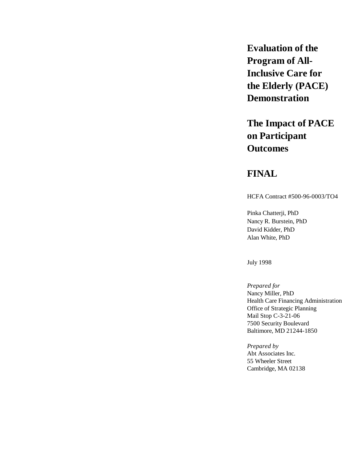**Evaluation of the Program of All-Inclusive Care for the Elderly (PACE) Demonstration**

# **The Impact of PACE on Participant Outcomes**

# **FINAL**

HCFA Contract #500-96-0003/TO4

Pinka Chatterji, PhD Nancy R. Burstein, PhD David Kidder, PhD Alan White, PhD

July 1998

*Prepared for* Nancy Miller, PhD Health Care Financing Administration Office of Strategic Planning Mail Stop C-3-21-06 7500 Security Boulevard Baltimore, MD 21244-1850

*Prepared by* Abt Associates Inc. 55 Wheeler Street Cambridge, MA 02138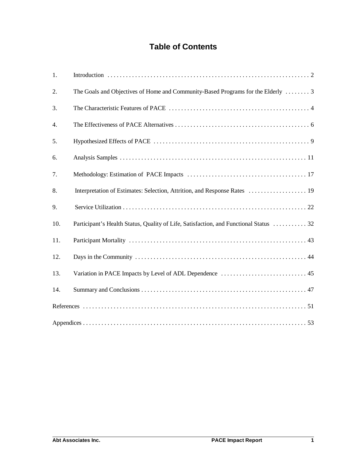# **Table of Contents**

| 1.  |                                                                                       |
|-----|---------------------------------------------------------------------------------------|
| 2.  | The Goals and Objectives of Home and Community-Based Programs for the Elderly  3      |
| 3.  |                                                                                       |
| 4.  |                                                                                       |
| 5.  |                                                                                       |
| 6.  |                                                                                       |
| 7.  |                                                                                       |
| 8.  | Interpretation of Estimates: Selection, Attrition, and Response Rates  19             |
| 9.  |                                                                                       |
| 10. | Participant's Health Status, Quality of Life, Satisfaction, and Functional Status  32 |
| 11. |                                                                                       |
| 12. |                                                                                       |
| 13. |                                                                                       |
| 14. |                                                                                       |
|     |                                                                                       |
|     |                                                                                       |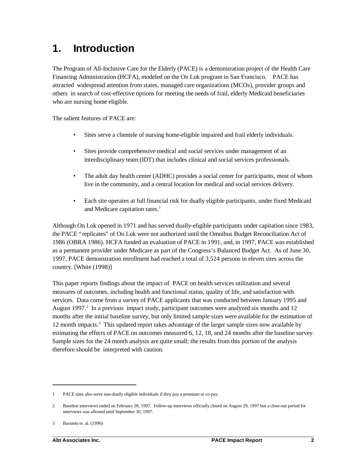# **1. Introduction**

The Program of All-Inclusive Care for the Elderly (PACE) is a demonstration project of the Health Care Financing Administration (HCFA), modeled on the On Lok program in San Francisco. PACE has attracted widespread attention from states, managed care organizations (MCOs), provider groups and others in search of cost-effective options for meeting the needs of frail, elderly Medicaid beneficiaries who are nursing home eligible.

The salient features of PACE are:

- Sites serve a clientele of nursing home-eligible impaired and frail elderly individuals.
- Sites provide comprehensive medical and social services under management of an interdisciplinary team (IDT) that includes clinical and social services professionals.
- The adult day health center (ADHC) provides a social center for participants, most of whom live in the community, and a central location for medical and social services delivery.
- Each site operates at full financial risk for dually eligible participants, under fixed Medicaid and Medicare capitation rates.<sup>1</sup>

Although On Lok opened in 1971 and has served dually-eligible participants under capitation since 1983, the PACE "replicates" of On Lok were not authorized until the Omnibus Budget Reconciliation Act of 1986 (OBRA 1986). HCFA funded an evaluation of PACE in 1991, and, in 1997, PACE was established as a permanent provider under Medicare as part of the Congress's Balanced Budget Act. As of June 30, 1997, PACE demonstration enrollment had reached a total of 3,524 persons in eleven sites across the country. [White (1998)]

This paper reports findings about the impact of PACE on health services utilization and several measures of outcomes, including health and functional status, quality of life, and satisfaction with services. Data come from a survey of PACE applicants that was conducted between January 1995 and August 1997.<sup>2</sup> In a previous impact study, participant outcomes were analyzed six months and 12 months after the initial baseline survey, but only limited sample sizes were available for the estimation of  $12$  month impacts.<sup>3</sup> This updated report takes advantage of the larger sample sizes now available by estimating the effects of PACE on outcomes measured 6, 12, 18, and 24 months after the baseline survey. Sample sizes for the 24 month analysis are quite small; the results from this portion of the analysis therefore should be interpreted with caution.

<sup>1</sup> PACE sites also serve non-dually eligible individuals if they pay a premium or co-pay.

<sup>2</sup> Baseline interviews ended on February 28, 1997. Follow-up interviews officially closed on August 29, 1997 but a close-out period for interviews was allowed until September 30, 1997.

<sup>3</sup> Burstein et. al. (1996)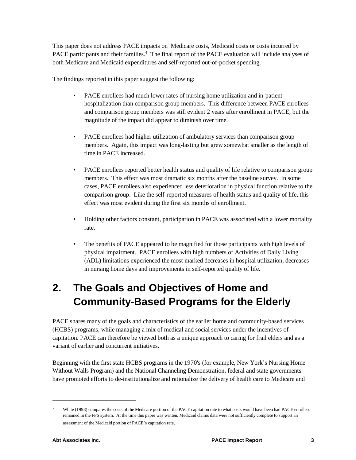This paper does not address PACE impacts on Medicare costs, Medicaid costs or costs incurred by PACE participants and their families.<sup>4</sup> The final report of the PACE evaluation will include analyses of both Medicare and Medicaid expenditures and self-reported out-of-pocket spending.

The findings reported in this paper suggest the following:

- PACE enrollees had much lower rates of nursing home utilization and in-patient hospitalization than comparison group members. This difference between PACE enrollees and comparison group members was still evident 2 years after enrollment in PACE, but the magnitude of the impact did appear to diminish over time.
- PACE enrollees had higher utilization of ambulatory services than comparison group members. Again, this impact was long-lasting but grew somewhat smaller as the length of time in PACE increased.
- PACE enrollees reported better health status and quality of life relative to comparison group members. This effect was most dramatic six months after the baseline survey. In some cases, PACE enrollees also experienced less deterioration in physical function relative to the comparison group. Like the self-reported measures of health status and quality of life, this effect was most evident during the first six months of enrollment.
- Holding other factors constant, participation in PACE was associated with a lower mortality rate.
- The benefits of PACE appeared to be magnified for those participants with high levels of physical impairment. PACE enrollees with high numbers of Activities of Daily Living (ADL) limitations experienced the most marked decreases in hospital utilization, decreases in nursing home days and improvements in self-reported quality of life.

# **2. The Goals and Objectives of Home and Community-Based Programs for the Elderly**

PACE shares many of the goals and characteristics of the earlier home and community-based services (HCBS) programs, while managing a mix of medical and social services under the incentives of capitation. PACE can therefore be viewed both as a unique approach to caring for frail elders and as a variant of earlier and concurrent initiatives.

Beginning with the first state HCBS programs in the 1970's (for example, New York's Nursing Home Without Walls Program) and the National Channeling Demonstration, federal and state governments have promoted efforts to de-institutionalize and rationalize the delivery of health care to Medicare and

<sup>4</sup> White (1998) compares the costs of the Medicare portion of the PACE capitation rate to what costs would have been had PACE enrollees remained in the FFS system. At the time this paper was written, Medicaid claims data were not sufficiently complete to support an assessment of the Medicaid portion of PACE's capitation rate.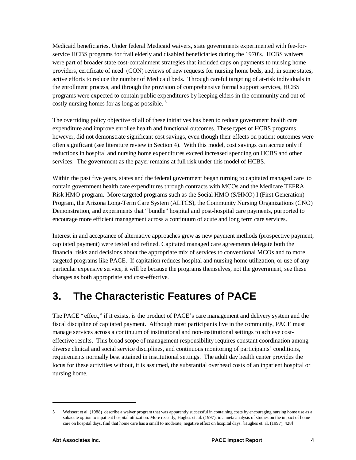Medicaid beneficiaries. Under federal Medicaid waivers, state governments experimented with fee-forservice HCBS programs for frail elderly and disabled beneficiaries during the 1970's. HCBS waivers were part of broader state cost-containment strategies that included caps on payments to nursing home providers, certificate of need (CON) reviews of new requests for nursing home beds, and, in some states, active efforts to reduce the number of Medicaid beds. Through careful targeting of at-risk individuals in the enrollment process, and through the provision of comprehensive formal support services, HCBS programs were expected to contain public expenditures by keeping elders in the community and out of costly nursing homes for as long as possible. 5

The overriding policy objective of all of these initiatives has been to reduce government health care expenditure and improve enrollee health and functional outcomes. These types of HCBS programs, however, did not demonstrate significant cost savings, even though their effects on patient outcomes were often significant (see literature review in Section 4). With this model, cost savings can accrue only if reductions in hospital and nursing home expenditures exceed increased spending on HCBS and other services. The government as the payer remains at full risk under this model of HCBS.

Within the past five years, states and the federal government began turning to capitated managed care to contain government health care expenditures through contracts with MCOs and the Medicare TEFRA Risk HMO program. More targeted programs such as the Social HMO (S/HMO) I (First Generation) Program, the Arizona Long-Term Care System (ALTCS), the Community Nursing Organizations (CNO) Demonstration, and experiments that "bundle" hospital and post-hospital care payments, purported to encourage more efficient management across a continuum of acute and long term care services.

Interest in and acceptance of alternative approaches grew as new payment methods (prospective payment, capitated payment) were tested and refined. Capitated managed care agreements delegate both the financial risks and decisions about the appropriate mix of services to conventional MCOs and to more targeted programs like PACE. If capitation reduces hospital and nursing home utilization, or use of any particular expensive service, it will be because the programs themselves, not the government, see these changes as both appropriate and cost-effective.

# **3. The Characteristic Features of PACE**

The PACE "effect," if it exists, is the product of PACE's care management and delivery system and the fiscal discipline of capitated payment. Although most participants live in the community, PACE must manage services across a continuum of institutional and non-institutional settings to achieve costeffective results. This broad scope of management responsibility requires constant coordination among diverse clinical and social service disciplines, and continuous monitoring of participants' conditions, requirements normally best attained in institutional settings. The adult day health center provides the locus for these activities without, it is assumed, the substantial overhead costs of an inpatient hospital or nursing home.

<sup>5</sup> Weissert et al. (1988) describe a waiver program that was apparently successful in containing costs by encouraging nursing home use as a subacute option to inpatient hospital utilization. More recently, Hughes et. al. (1997), in a meta analysis of studies on the impact of home care on hospital days, find that home care has a small to moderate, negative effect on hospital days. [Hughes et. al. (1997), 428]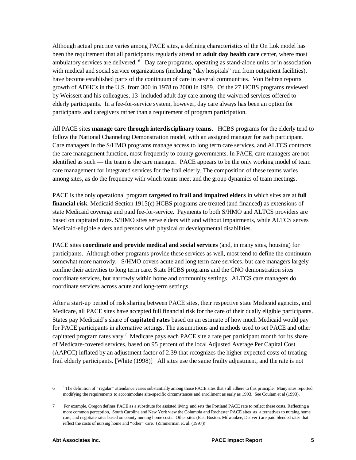Although actual practice varies among PACE sites, a defining characteristics of the On Lok model has been the requirement that all participants regularly attend an **adult day health care** center, where most ambulatory services are delivered. <sup>6</sup> Day care programs, operating as stand-alone units or in association with medical and social service organizations (including "day hospitals" run from outpatient facilities), have become established parts of the continuum of care in several communities. Von Behren reports growth of ADHCs in the U.S. from 300 in 1978 to 2000 in 1989. Of the 27 HCBS programs reviewed by Weissert and his colleagues, 13 included adult day care among the waivered services offered to elderly participants. In a fee-for-service system, however, day care always has been an option for participants and caregivers rather than a requirement of program participation.

All PACE sites **manage care through interdisciplinary teams**. HCBS programs for the elderly tend to follow the National Channeling Demonstration model, with an assigned manager for each participant. Care managers in the S/HMO programs manage access to long term care services, and ALTCS contracts the care management function, most frequently to county governments. In PACE, care managers are not identified as such — the team is the care manager. PACE appears to be the only working model of team care management for integrated services for the frail elderly. The composition of these teams varies among sites, as do the frequency with which teams meet and the group dynamics of team meetings.

PACE is the only operational program **targeted to frail and impaired elders** in which sites are at **full financial risk**. Medicaid Section 1915(c) HCBS programs are treated (and financed) as extensions of state Medicaid coverage and paid fee-for-service. Payments to both S/HMO and ALTCS providers are based on capitated rates. S/HMO sites serve elders with and without impairments, while ALTCS serves Medicaid-eligible elders and persons with physical or developmental disabilities.

PACE sites **coordinate and provide medical and social services** (and, in many sites, housing) for participants. Although other programs provide these services as well, most tend to define the continuum somewhat more narrowly. S/HMO covers acute and long term care services, but care managers largely confine their activities to long term care. State HCBS programs and the CNO demonstration sites coordinate services, but narrowly within home and community settings. ALTCS care managers do coordinate services across acute and long-term settings.

After a start-up period of risk sharing between PACE sites, their respective state Medicaid agencies, and Medicare, all PACE sites have accepted full financial risk for the care of their dually eligible participants. States pay Medicaid's share of **capitated rates** based on an estimate of how much Medicaid would pay for PACE participants in alternative settings. The assumptions and methods used to set PACE and other capitated program rates vary.<sup>7</sup> Medicare pays each PACE site a rate per participant month for its share of Medicare-covered services, based on 95 percent of the local Adjusted Average Per Capital Cost (AAPCC) inflated by an adjustment factor of 2.39 that recognizes the higher expected costs of treating frail elderly participants. [White (1998)] All sites use the same frailty adjustment, and the rate is not

 $6<sup>3</sup>$  The definition of "regular" attendance varies substantially among those PACE sites that still adhere to this principle. Many sites reported modifying the requirements to accommodate site-specific circumstances and enrollment as early as 1993. See Coulam et al (1993).

<sup>7</sup> For example, Oregon defines PACE as a substitute for assisted living and sets the Portland PACE rate to reflect these costs. Reflecting a more common perception, South Carolina and New York view the Columbia and Rochester PACE sites as alternatives to nursing home care, and negotiate rates based on county nursing home costs. Other sites (East Boston, Milwaukee, Denver ) are paid blended rates that reflect the costs of nursing home and "other" care. (Zimmerman et. al. (1997))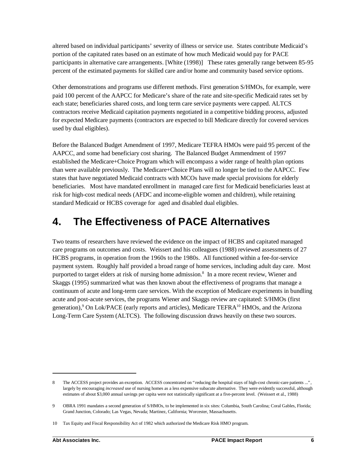altered based on individual participants' severity of illness or service use. States contribute Medicaid's portion of the capitated rates based on an estimate of how much Medicaid would pay for PACE participants in alternative care arrangements. [White (1998)] These rates generally range between 85-95 percent of the estimated payments for skilled care and/or home and community based service options.

Other demonstrations and programs use different methods. First generation S/HMOs, for example, were paid 100 percent of the AAPCC for Medicare's share of the rate and site-specific Medicaid rates set by each state; beneficiaries shared costs, and long term care service payments were capped. ALTCS contractors receive Medicaid capitation payments negotiated in a competitive bidding process, adjusted for expected Medicare payments (contractors are expected to bill Medicare directly for covered services used by dual eligibles).

Before the Balanced Budget Amendment of 1997, Medicare TEFRA HMOs were paid 95 percent of the AAPCC, and some had beneficiary cost sharing. The Balanced Budget Ammendment of 1997 established the Medicare+Choice Program which will encompass a wider range of health plan options than were available previously. The Medicare+Choice Plans will no longer be tied to the AAPCC. Few states that have negotiated Medicaid contracts with MCOs have made special provisions for elderly beneficiaries. Most have mandated enrollment in managed care first for Medicaid beneficiaries least at risk for high-cost medical needs (AFDC and income-eligible women and children), while retaining standard Medicaid or HCBS coverage for aged and disabled dual eligibles.

# **4. The Effectiveness of PACE Alternatives**

Two teams of researchers have reviewed the evidence on the impact of HCBS and capitated managed care programs on outcomes and costs. Weissert and his colleagues (1988) reviewed assessments of 27 HCBS programs, in operation from the 1960s to the 1980s. All functioned within a fee-for-service payment system. Roughly half provided a broad range of home services, including adult day care. Most purported to target elders at risk of nursing home admission.<sup>8</sup> In a more recent review, Wiener and Skaggs (1995) summarized what was then known about the effectiveness of programs that manage a continuum of acute and long-term care services. With the exception of Medicare experiments in bundling acute and post-acute services, the programs Wiener and Skaggs review are capitated: S/HMOs (first generation),<sup>9</sup> On Lok/PACE (early reports and articles), Medicare TEFRA<sup>10</sup> HMOs, and the Arizona Long-Term Care System (ALTCS). The following discussion draws heavily on these two sources.

<sup>8</sup> The ACCESS project provides an exception. ACCESS concentrated on "reducing the hospital stays of high-cost chronic-care patients ...", largely by encouraging *increased* use of nursing homes as a less expensive subacute alternative. They were evidently successful, although estimates of about \$3,000 annual savings per capita were not statistically significant at a five-percent level. (Weissert et al., 1988)

<sup>9</sup> OBRA 1991 mandates a second generation of S/HMOs, to be implemented in six sites: Columbia, South Carolina; Coral Gables, Florida; Grand Junction, Colorado; Las Vegas, Nevada; Martinez, California; Worcester, Massachusetts.

<sup>10</sup> Tax Equity and Fiscal Responsibility Act of 1982 which authorized the Medicare Risk HMO program.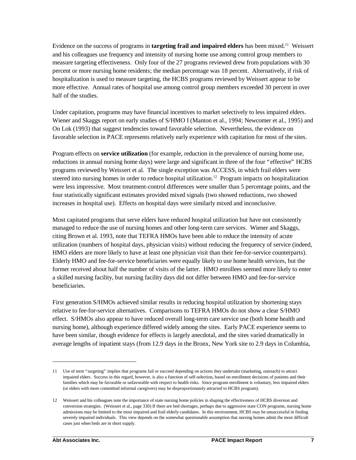Evidence on the success of programs in **targeting frail and impaired elders** has been mixed.<sup>11</sup> Weissert and his colleagues use frequency and intensity of nursing home use among control group members to measure targeting effectiveness. Only four of the 27 programs reviewed drew from populations with 30 percent or more nursing home residents; the median percentage was 18 percent. Alternatively, if risk of hospitalization is used to measure targeting, the HCBS programs reviewed by Weissert appear to be more effective. Annual rates of hospital use among control group members exceeded 30 percent in over half of the studies.

Under capitation, programs may have financial incentives to market selectively to less impaired elders. Wiener and Skaggs report on early studies of S/HMO I (Manton et al., 1994; Newcomer et al., 1995) and On Lok (1993) that suggest tendencies toward favorable selection. Nevertheless, the evidence on favorable selection in PACE represents relatively early experience with capitation for most of the sites.

Program effects on **service utilization** (for example, reduction in the prevalence of nursing home use, reductions in annual nursing home days) were large and significant in three of the four "effective" HCBS programs reviewed by Weissert et al. The single exception was ACCESS, in which frail elders were steered into nursing homes in order to reduce hospital utilization.<sup>12</sup> Program impacts on hospitalization were less impressive. Most treatment-control differences were smaller than 5 percentage points, and the four statistically significant estimates provided mixed signals (two showed reductions, two showed increases in hospital use). Effects on hospital days were similarly mixed and inconclusive.

Most capitated programs that serve elders have reduced hospital utilization but have not consistently managed to reduce the use of nursing homes and other long-term care services. Wiener and Skaggs, citing Brown et al. 1993, note that TEFRA HMOs have been able to reduce the intensity of acute utilization (numbers of hospital days, physician visits) without reducing the frequency of service (indeed, HMO elders are more likely to have at least one physician visit than their fee-for-service counterparts). Elderly HMO and fee-for-service beneficiaries were equally likely to use home health services, but the former received about half the number of visits of the latter. HMO enrollees seemed more likely to enter a skilled nursing facility, but nursing facility days did not differ between HMO and fee-for-service beneficiaries.

First generation S/HMOs achieved similar results in reducing hospital utilization by shortening stays relative to fee-for-service alternatives. Comparisons to TEFRA HMOs do not show a clear S/HMO effect. S/HMOs also appear to have reduced overall long-term care service use (both home health and nursing home), although experience differed widely among the sites. Early PACE experience seems to have been similar, though evidence for effects is largely anecdotal, and the sites varied dramatically in average lengths of inpatient stays (from 12.9 days in the Bronx, New York site to 2.9 days in Columbia,

<sup>11</sup> Use of term "targeting" implies that programs fail or succeed depending on actions they undertake (marketing, outreach) to attract impaired elders. Success in this regard, however, is also a function of self-selection, based on enrollment decisions of patients and their families which may be favorable or unfavorable with respect to health risks. Since program enrollment is voluntary, less impaired elders (or elders with more committed informal caregivers) may be disproportionately attracted to HCBS program).

<sup>12</sup> Weissert and his colleagues note the importance of state nursing home policies in shaping the effectiveness of HCBS diversion and conversion strategies. (Weissert et al., page 330) If there are bed shortages, perhaps due to aggressive state CON programs, nursing home admissions may be limited to the most impaired and frail elderly candidates. In this environment, HCBS may be unsuccessful in finding severely impaired individuals. This view depends on the somewhat questionable assumption that nursing homes admit the most difficult cases just when beds are in short supply.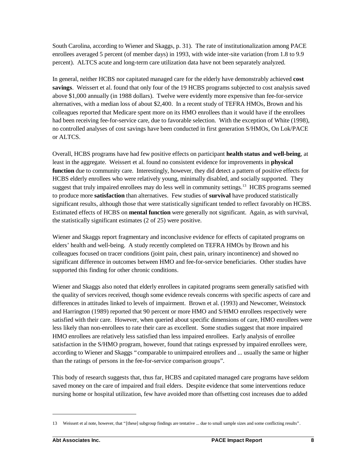South Carolina, according to Wiener and Skaggs, p. 31). The rate of institutionalization among PACE enrollees averaged 5 percent (of member days) in 1993, with wide inter-site variation (from 1.8 to 9.9 percent). ALTCS acute and long-term care utilization data have not been separately analyzed.

In general, neither HCBS nor capitated managed care for the elderly have demonstrably achieved **cost savings**. Weissert et al. found that only four of the 19 HCBS programs subjected to cost analysis saved above \$1,000 annually (in 1988 dollars). Twelve were evidently more expensive than fee-for-service alternatives, with a median loss of about \$2,400. In a recent study of TEFRA HMOs, Brown and his colleagues reported that Medicare spent more on its HMO enrollees than it would have if the enrollees had been receiving fee-for-service care, due to favorable selection. With the exception of White (1998), no controlled analyses of cost savings have been conducted in first generation S/HMOs, On Lok/PACE or ALTCS.

Overall, HCBS programs have had few positive effects on participant **health status and well-being**, at least in the aggregate. Weissert et al. found no consistent evidence for improvements in **physical function** due to community care. Interestingly, however, they did detect a pattern of positive effects for HCBS elderly enrollees who were relatively young, minimally disabled, and socially supported. They suggest that truly impaired enrollees may do less well in community settings.<sup>13</sup> HCBS programs seemed to produce more **satisfaction** than alternatives. Few studies of **survival** have produced statistically significant results, although those that were statistically significant tended to reflect favorably on HCBS. Estimated effects of HCBS on **mental function** were generally not significant. Again, as with survival, the statistically significant estimates (2 of 25) were positive.

Wiener and Skaggs report fragmentary and inconclusive evidence for effects of capitated programs on elders' health and well-being. A study recently completed on TEFRA HMOs by Brown and his colleagues focused on tracer conditions (joint pain, chest pain, urinary incontinence) and showed no significant difference in outcomes between HMO and fee-for-service beneficiaries. Other studies have supported this finding for other chronic conditions.

Wiener and Skaggs also noted that elderly enrollees in capitated programs seem generally satisfied with the quality of services received, though some evidence reveals concerns with specific aspects of care and differences in attitudes linked to levels of impairment. Brown et al. (1993) and Newcomer, Weinstock and Harrington (1989) reported that 90 percent or more HMO and S/HMO enrollees respectively were satisfied with their care. However, when queried about specific dimensions of care, HMO enrollees were less likely than non-enrollees to rate their care as excellent. Some studies suggest that more impaired HMO enrollees are relatively less satisfied than less impaired enrollees. Early analysis of enrollee satisfaction in the S/HMO program, however, found that ratings expressed by impaired enrollees were, according to Wiener and Skaggs "comparable to unimpaired enrollees and ... usually the same or higher than the ratings of persons in the fee-for-service comparison groups".

This body of research suggests that, thus far, HCBS and capitated managed care programs have seldom saved money on the care of impaired and frail elders. Despite evidence that some interventions reduce nursing home or hospital utilization, few have avoided more than offsetting cost increases due to added

<sup>13</sup> Weissert et al note, however, that "[these] subgroup findings are tentative ... due to small sample sizes and some conflicting results".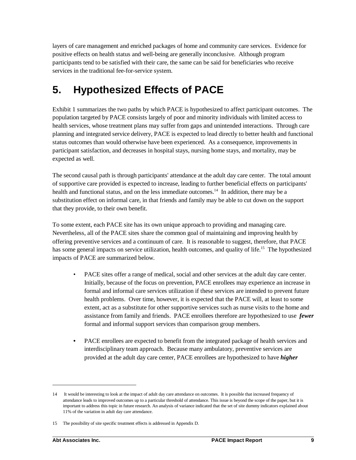layers of care management and enriched packages of home and community care services. Evidence for positive effects on health status and well-being are generally inconclusive. Although program participants tend to be satisfied with their care, the same can be said for beneficiaries who receive services in the traditional fee-for-service system.

# **5. Hypothesized Effects of PACE**

Exhibit 1 summarizes the two paths by which PACE is hypothesized to affect participant outcomes. The population targeted by PACE consists largely of poor and minority individuals with limited access to health services, whose treatment plans may suffer from gaps and unintended interactions. Through care planning and integrated service delivery, PACE is expected to lead directly to better health and functional status outcomes than would otherwise have been experienced. As a consequence, improvements in participant satisfaction, and decreases in hospital stays, nursing home stays, and mortality, may be expected as well.

The second causal path is through participants' attendance at the adult day care center. The total amount of supportive care provided is expected to increase, leading to further beneficial effects on participants' health and functional status, and on the less immediate outcomes.<sup>14</sup> In addition, there may be a substitution effect on informal care, in that friends and family may be able to cut down on the support that they provide, to their own benefit.

To some extent, each PACE site has its own unique approach to providing and managing care. Nevertheless, all of the PACE sites share the common goal of maintaining and improving health by offering preventive services and a continuum of care. It is reasonable to suggest, therefore, that PACE has some general impacts on service utilization, health outcomes, and quality of life.<sup>15</sup> The hypothesized impacts of PACE are summarized below.

- PACE sites offer a range of medical, social and other services at the adult day care center. Initially, because of the focus on prevention, PACE enrollees may experience an increase in formal and informal care services utilization if these services are intended to prevent future health problems. Over time, however, it is expected that the PACE will, at least to some extent, act as a substitute for other supportive services such as nurse visits to the home and assistance from family and friends. PACE enrollees therefore are hypothesized to use *fewer* formal and informal support services than comparison group members.
- PACE enrollees are expected to benefit from the integrated package of health services and interdisciplinary team approach. Because many ambulatory, preventive services are provided at the adult day care center, PACE enrollees are hypothesized to have *higher*

<sup>14</sup> It would be interesting to look at the impact of adult day care attendance on outcomes. It is possible that increased frequency of attendance leads to improved outcomes up to a particular threshold of attendance. This issue is beyond the scope of the paper, but it is important to address this topic in future research. An analysis of variance indicated that the set of site dummy indicators explained about 11% of the variation in adult day care attendance.

<sup>15</sup> The possibility of site specific treatment effects is addressed in Appendix D.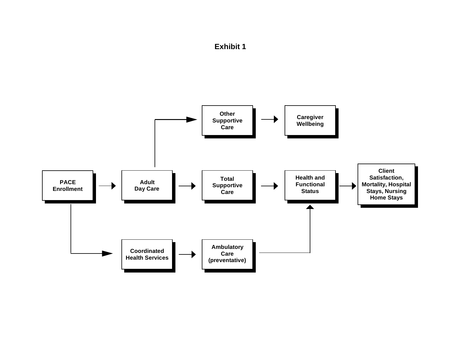

# **Exhibit 1**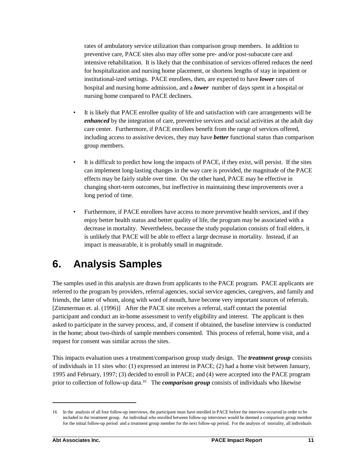rates of ambulatory service utilization than comparison group members. In addition to preventive care, PACE sites also may offer some pre- and/or post-subacute care and intensive rehabilitation. It is likely that the combination of services offered reduces the need for hospitalization and nursing home placement, or shortens lengths of stay in inpatient or institutional-ized settings. PACE enrollees, then, are expected to have *lower* rates of hospital and nursing home admission, and a *lower* number of days spent in a hospital or nursing home compared to PACE decliners.

- It is likely that PACE enrollee quality of life and satisfaction with care arrangements will be *enhanced* by the integration of care, preventive services and social activities at the adult day care center. Furthermore, if PACE enrollees benefit from the range of services offered, including access to assistive devices, they may have *better* functional status than comparison group members.
- It is difficult to predict how long the impacts of PACE, if they exist, will persist. If the sites can implement long-lasting changes in the way care is provided, the magnitude of the PACE effects may be fairly stable over time. On the other hand, PACE may be effective in changing short-term outcomes, but ineffective in maintaining these improvements over a long period of time.
- Furthermore, if PACE enrollees have access to more preventive health services, and if they enjoy better health status and better quality of life, the program may be associated with a decrease in mortality. Nevertheless, because the study population consists of frail elders, it is unlikely that PACE will be able to effect a large decrease in mortality. Instead, if an impact is measurable, it is probably small in magnitude.

# **6. Analysis Samples**

The samples used in this analysis are drawn from applicants to the PACE program. PACE applicants are referred to the program by providers, referral agencies, social service agencies, caregivers, and family and friends, the latter of whom, along with word of mouth, have become very important sources of referrals. [Zimmerman et. al. (1996)] After the PACE site receives a referral, staff contact the potential participant and conduct an in-home assessment to verify eligibility and interest. The applicant is then asked to participate in the survey process, and, if consent if obtained, the baseline interview is conducted in the home; about two-thirds of sample members consented. This process of referral, home visit, and a request for consent was similar across the sites.

This impacts evaluation uses a treatment/comparison group study design. The *treatment group* consists of individuals in 11 sites who: (1) expressed an interest in PACE; (2) had a home visit between January, 1995 and February, 1997; (3) decided to enroll in PACE; and (4) were accepted into the PACE program prior to collection of follow-up data.<sup>16</sup> The *comparison group* consists of individuals who likewise

<sup>16</sup> In the analysis of all four follow-up interviews, the participant must have enrolled in PACE before the interview occurred in order to be included in the treatment group. An individual who enrolled between follow-up interviews would be deemed a comparison group member for the initial follow-up period and a treatment group member for the next follow-up period. For the analysis of mortality, all individuals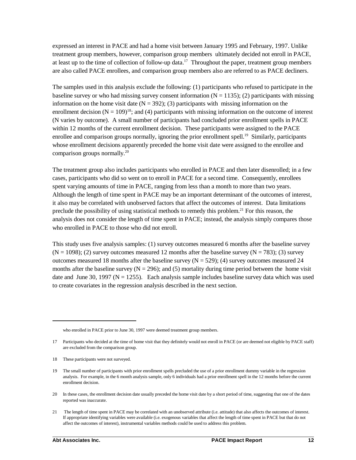expressed an interest in PACE and had a home visit between January 1995 and February, 1997. Unlike treatment group members, however, comparison group members ultimately decided not enroll in PACE, at least up to the time of collection of follow-up data.<sup>17</sup> Throughout the paper, treatment group members are also called PACE enrollees, and comparison group members also are referred to as PACE decliners.

The samples used in this analysis exclude the following: (1) participants who refused to participate in the baseline survey or who had missing survey consent information  $(N = 1135)$ ; (2) participants with missing information on the home visit date ( $N = 392$ ); (3) participants with missing information on the enrollment decision ( $N = 109$ <sup>18</sup>; and (4) participants with missing information on the outcome of interest (N varies by outcome). A small number of participants had concluded prior enrollment spells in PACE within 12 months of the current enrollment decision. These participants were assigned to the PACE enrollee and comparison groups normally, ignoring the prior enrollment spell.<sup>19</sup> Similarly, participants whose enrollment decisions apparently preceded the home visit date were assigned to the enrollee and comparison groups normally.<sup>20</sup>

The treatment group also includes participants who enrolled in PACE and then later disenrolled; in a few cases, participants who did so went on to enroll in PACE for a second time. Consequently, enrollees spent varying amounts of time in PACE, ranging from less than a month to more than two years. Although the length of time spent in PACE may be an important determinant of the outcomes of interest, it also may be correlated with unobserved factors that affect the outcomes of interest. Data limitations preclude the possibility of using statistical methods to remedy this problem.<sup>21</sup> For this reason, the analysis does not consider the length of time spent in PACE; instead, the analysis simply compares those who enrolled in PACE to those who did not enroll.

This study uses five analysis samples: (1) survey outcomes measured 6 months after the baseline survey  $(N = 1098)$ ; (2) survey outcomes measured 12 months after the baseline survey  $(N = 783)$ ; (3) survey outcomes measured 18 months after the baseline survey  $(N = 529)$ ; (4) survey outcomes measured 24 months after the baseline survey ( $N = 296$ ); and (5) mortality during time period between the home visit date and June 30, 1997 ( $N = 1255$ ). Each analysis sample includes baseline survey data which was used to create covariates in the regression analysis described in the next section.

who enrolled in PACE prior to June 30, 1997 were deemed treatment group members.

<sup>17</sup> Participants who decided at the time of home visit that they definitely would not enroll in PACE (or are deemed not eligible by PACE staff) are excluded from the comparison group.

<sup>18</sup> These participants were not surveyed.

<sup>19</sup> The small number of participants with prior enrollment spells precluded the use of a prior enrollment dummy variable in the regression analysis. For example, in the 6 month analysis sample, only 6 individuals had a prior enrollment spell in the 12 months before the current enrollment decision.

<sup>20</sup> In these cases, the enrollment decision date usually preceded the home visit date by a short period of time, suggesting that one of the dates reported was inaccurate.

<sup>21</sup> The length of time spent in PACE may be correlated with an unobserved attribute (i.e. attitude) that also affects the outcomes of interest. If appropriate identifying variables were available (i.e. exogenous variables that affect the length of time spent in PACE but that do not affect the outcomes of interest), instrumental variables methods could be used to address this problem.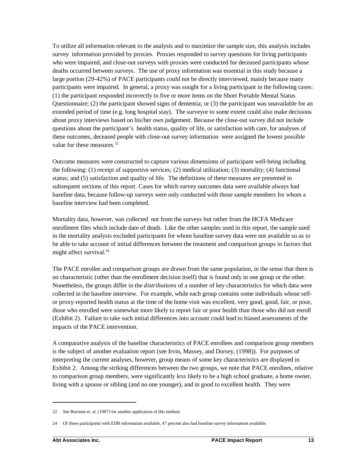To utilize all information relevant to the analysis and to maximize the sample size, this analysis includes survey information provided by proxies. Proxies responded to survey questions for living participants who were impaired, and close-out surveys with proxies were conducted for deceased participants whose deaths occurred between surveys. The use of proxy information was essential in this study because a large portion (29-42%) of PACE participants could not be directly interviewed, mainly because many participants were impaired. In general, a proxy was sought for a living participant in the following cases: (1) the participant responded incorrectly to five or more items on the Short Portable Mental Status Questionnaire; (2) the participant showed signs of dementia; or (3) the participant was unavailable for an extended period of time (e.g. long hospital stay). The surveyor to some extent could also make decisions about proxy interviews based on his/her own judgement. Because the close-out survey did not include questions about the participant's health status, quality of life, or satisfaction with care, for analyses of these outcomes, deceased people with close-out survey information were assigned the lowest possible value for these measures.<sup>22</sup>

Outcome measures were constructed to capture various dimensions of participant well-being including the following: (1) receipt of supportive services; (2) medical utilization; (3) mortality; (4) functional status; and (5) satisfaction and quality of life. The definitions of these measures are presented in subsequent sections of this report. Cases for which survey outcomes data were available always had baseline data, because follow-up surveys were only conducted with those sample members for whom a baseline interview had been completed.

Mortality data, however, was collected not from the surveys but rather from the HCFA Medicare enrollment files which include date of death. Like the other samples used in this report, the sample used in the mortality analysis excluded participants for whom baseline survey data were not available so as to be able to take account of initial differences between the treatment and comparison groups in factors that might affect survival.<sup>24</sup>

The PACE enrollee and comparison groups are drawn from the same population, in the sense that there is no characteristic (other than the enrollment decision itself) that is found only in one group or the other. Nonetheless, the groups differ in the *distributions* of a number of key characteristics for which data were collected in the baseline interview. For example, while each group contains some individuals whose selfor proxy-reported health status at the time of the home visit was excellent, very good, good, fair, or poor, those who enrolled were somewhat more likely to report fair or poor health than those who did not enroll (Exhibit 2). Failure to take such initial differences into account could lead to biased assessments of the impacts of the PACE intervention.

A comparative analysis of the baseline characteristics of PACE enrollees and comparison group members is the subject of another evaluation report (see Irvin, Massey, and Dorsey, (1998)). For purposes of interpreting the current analyses, however, group means of some key characteristics are displayed in Exhibit 2. Among the striking differences between the two groups, we note that PACE enrollees, relative to comparison group members, were significantly *less* likely to be a high school graduate, a home owner, living with a spouse or sibling (and no one younger), and in good to excellent health. They were

<sup>22</sup> See Burstein et. al. (1987) for another application of this method.

<sup>24</sup> Of those participants with EDB information available, 47 percent also had baseline survey information available.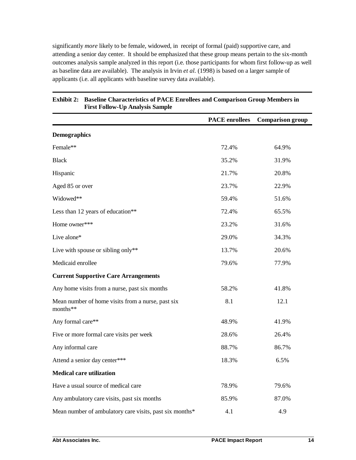significantly *more* likely to be female, widowed, in receipt of formal (paid) supportive care, and attending a senior day center. It should be emphasized that these group means pertain to the six-month outcomes analysis sample analyzed in this report (i.e. those participants for whom first follow-up as well as baseline data are available). The analysis in Irvin *et al.* (1998) is based on a larger sample of applicants (i.e. all applicants with baseline survey data available).

|                                                               | <b>PACE</b> enrollees | <b>Comparison group</b> |
|---------------------------------------------------------------|-----------------------|-------------------------|
| <b>Demographics</b>                                           |                       |                         |
| Female**                                                      | 72.4%                 | 64.9%                   |
| <b>Black</b>                                                  | 35.2%                 | 31.9%                   |
| Hispanic                                                      | 21.7%                 | 20.8%                   |
| Aged 85 or over                                               | 23.7%                 | 22.9%                   |
| Widowed**                                                     | 59.4%                 | 51.6%                   |
| Less than 12 years of education**                             | 72.4%                 | 65.5%                   |
| Home owner***                                                 | 23.2%                 | 31.6%                   |
| Live alone*                                                   | 29.0%                 | 34.3%                   |
| Live with spouse or sibling only**                            | 13.7%                 | 20.6%                   |
| Medicaid enrollee                                             | 79.6%                 | 77.9%                   |
| <b>Current Supportive Care Arrangements</b>                   |                       |                         |
| Any home visits from a nurse, past six months                 | 58.2%                 | 41.8%                   |
| Mean number of home visits from a nurse, past six<br>months** | 8.1                   | 12.1                    |
| Any formal care**                                             | 48.9%                 | 41.9%                   |
| Five or more formal care visits per week                      | 28.6%                 | 26.4%                   |
| Any informal care                                             | 88.7%                 | 86.7%                   |
| Attend a senior day center***                                 | 18.3%                 | 6.5%                    |
| <b>Medical care utilization</b>                               |                       |                         |
| Have a usual source of medical care                           | 78.9%                 | 79.6%                   |
| Any ambulatory care visits, past six months                   | 85.9%                 | 87.0%                   |
| Mean number of ambulatory care visits, past six months*       | 4.1                   | 4.9                     |

### **Exhibit 2: Baseline Characteristics of PACE Enrollees and Comparison Group Members in First Follow-Up Analysis Sample**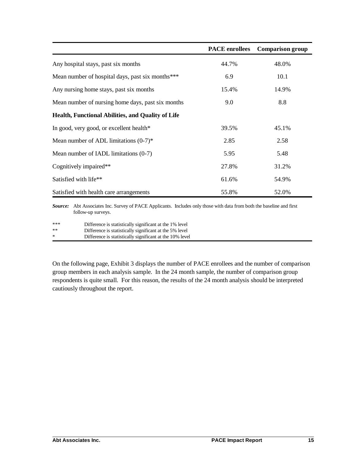|                                                          | <b>PACE</b> enrollees | <b>Comparison group</b> |
|----------------------------------------------------------|-----------------------|-------------------------|
| Any hospital stays, past six months                      | 44.7%                 | 48.0%                   |
| Mean number of hospital days, past six months***         | 6.9                   | 10.1                    |
| Any nursing home stays, past six months                  | 15.4%                 | 14.9%                   |
| Mean number of nursing home days, past six months        | 9.0                   | 8.8                     |
| <b>Health, Functional Abilities, and Quality of Life</b> |                       |                         |
| In good, very good, or excellent health*                 | 39.5%                 | 45.1%                   |
| Mean number of ADL limitations $(0-7)^*$                 | 2.85                  | 2.58                    |
| Mean number of IADL limitations (0-7)                    | 5.95                  | 5.48                    |
| Cognitively impaired**                                   | 27.8%                 | 31.2%                   |
| Satisfied with life**                                    | 61.6%                 | 54.9%                   |
| Satisfied with health care arrangements                  | 55.8%                 | 52.0%                   |

*Source:* Abt Associates Inc. Survey of PACE Applicants. Includes only those with data from both the baseline and first follow-up surveys.

| ***    | Difference is statistically significant at the 1% level  |
|--------|----------------------------------------------------------|
| $**$   | Difference is statistically significant at the 5% level  |
| $\ast$ | Difference is statistically significant at the 10% level |

On the following page, Exhibit 3 displays the number of PACE enrollees and the number of comparison group members in each analysis sample. In the 24 month sample, the number of comparison group respondents is quite small. For this reason, the results of the 24 month analysis should be interpreted cautiously throughout the report.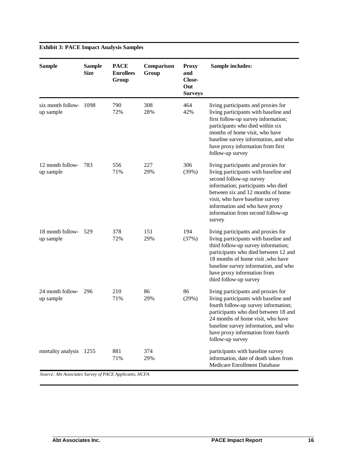| <b>Sample</b>                  | <b>Sample</b><br><b>Size</b> | <b>PACE</b><br><b>Enrollees</b><br>Group | Comparison<br>Group | <b>Proxy</b><br>and<br>Close-<br>Out<br><b>Surveys</b> | <b>Sample includes:</b>                                                                                                                                                                                                                                                                                |
|--------------------------------|------------------------------|------------------------------------------|---------------------|--------------------------------------------------------|--------------------------------------------------------------------------------------------------------------------------------------------------------------------------------------------------------------------------------------------------------------------------------------------------------|
| six month follow-<br>up sample | 1098                         | 790<br>72%                               | 308<br>28%          | 464<br>42%                                             | living participants and proxies for<br>living participants with baseline and<br>first follow-up survey information;<br>participants who died within six<br>months of home visit, who have<br>baseline survey information, and who<br>have proxy information from first<br>follow-up survey             |
| 12 month follow-<br>up sample  | -783                         | 556<br>71%                               | 227<br>29%          | 306<br>(39%)                                           | living participants and proxies for<br>living participants with baseline and<br>second follow-up survey<br>information; participants who died<br>between six and 12 months of home<br>visit, who have baseline survey<br>information and who have proxy<br>information from second follow-up<br>survey |
| 18 month follow-<br>up sample  | 529                          | 378<br>72%                               | 151<br>29%          | 194<br>(37%)                                           | living participants and proxies for<br>living participants with baseline and<br>third follow-up survey information;<br>participants who died between 12 and<br>18 months of home visit, who have<br>baseline survey information, and who<br>have proxy information from<br>third follow-up survey      |
| 24 month follow-<br>up sample  | -296                         | 210<br>71%                               | 86<br>29%           | 86<br>(29%)                                            | living participants and proxies for<br>living participants with baseline and<br>fourth follow-up survey information;<br>participants who died between 18 and<br>24 months of home visit, who have<br>baseline survey information, and who<br>have proxy information from fourth<br>follow-up survey    |
| mortality analysis             | 1255                         | 881<br>71%                               | 374<br>29%          |                                                        | participants with baseline survey<br>information, date of death taken from<br>Medicare Enrollment Database                                                                                                                                                                                             |

## **Exhibit 3: PACE Impact Analysis Samples**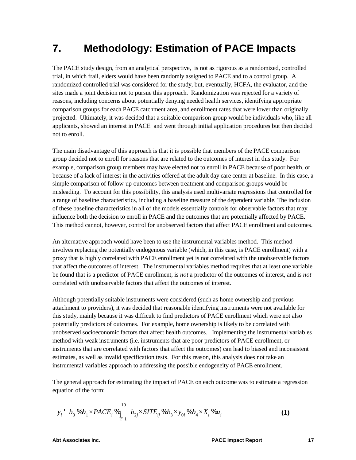# **7. Methodology: Estimation of PACE Impacts**

The PACE study design, from an analytical perspective, is not as rigorous as a randomized, controlled trial, in which frail, elders would have been randomly assigned to PACE and to a control group. A randomized controlled trial was considered for the study, but, eventually, HCFA, the evaluator, and the sites made a joint decision not to pursue this approach. Randomization was rejected for a variety of reasons, including concerns about potentially denying needed health services, identifying appropriate comparison groups for each PACE catchment area, and enrollment rates that were lower than originally projected. Ultimately, it was decided that a suitable comparison group would be individuals who, like all applicants, showed an interest in PACE and went through initial application procedures but then decided not to enroll.

The main disadvantage of this approach is that it is possible that members of the PACE comparison group decided not to enroll for reasons that are related to the outcomes of interest in this study. For example, comparison group members may have elected not to enroll in PACE because of poor health, or because of a lack of interest in the activities offered at the adult day care center at baseline. In this case, a simple comparison of follow-up outcomes between treatment and comparison groups would be misleading. To account for this possibility, this analysis used multivariate regressions that controlled for a range of baseline characteristics, including a baseline measure of the dependent variable. The inclusion of these baseline characteristics in all of the models essentially controls for observable factors that may influence both the decision to enroll in PACE and the outcomes that are potentially affected by PACE. This method cannot, however, control for unobserved factors that affect PACE enrollment and outcomes.

An alternative approach would have been to use the instrumental variables method. This method involves replacing the potentially endogenous variable (which, in this case, is PACE enrollment) with a proxy that is highly correlated with PACE enrollment yet is not correlated with the unobservable factors that affect the outcomes of interest. The instrumental variables method requires that at least one variable be found that is a predictor of PACE enrollment, is *not* a predictor of the outcomes of interest, and is *not* correlated with unobservable factors that affect the outcomes of interest.

Although potentially suitable instruments were considered (such as home ownership and previous attachment to providers), it was decided that reasonable identifying instruments were not available for this study, mainly because it was difficult to find predictors of PACE enrollment which were not also potentially predictors of outcomes. For example, home ownership is likely to be correlated with unobserved socioeconomic factors that affect health outcomes. Implementing the instrumental variables method with weak instruments (i.e. instruments that are poor predictors of PACE enrollment, or instruments that are correlated with factors that affect the outcomes) can lead to biased and inconsistent estimates, as well as invalid specification tests. For this reason, this analysis does not take an instrumental variables approach to addressing the possible endogeneity of PACE enrollment.

The general approach for estimating the impact of PACE on each outcome was to estimate a regression equation of the form:

$$
y_i' b_0 \mathcal{A} b_1 \times PACE_i \mathcal{A} \underset{i=1}{\overset{10}{\sum}} b_{2j} \times SITE_{ij} \mathcal{A} b_3 \times y_{0i} \mathcal{A} b_4 \times X_i \mathcal{A} u_i
$$
 (1)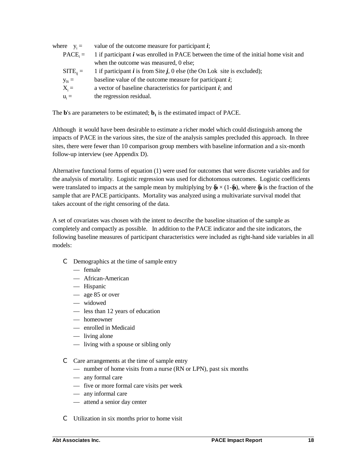| where $y_i =$ | value of the outcome measure for participant $\vec{i}$ ;                                      |
|---------------|-----------------------------------------------------------------------------------------------|
| $PACE_i =$    | 1 if participant <i>i</i> was enrolled in PACE between the time of the initial home visit and |
|               | when the outcome was measured, 0 else;                                                        |
| $SITE_{ii} =$ | 1 if participant $i$ is from Site $j$ , 0 else (the On Lok site is excluded);                 |
| $y_{0i} =$    | baseline value of the outcome measure for participant $\boldsymbol{i}$ ;                      |
| $X_i =$       | a vector of baseline characteristics for participant $\boldsymbol{i}$ ; and                   |
| $u_i =$       | the regression residual.                                                                      |
|               |                                                                                               |

The **b**'s are parameters to be estimated;  **is the estimated impact of PACE.** 

Although it would have been desirable to estimate a richer model which could distinguish among the impacts of PACE in the various sites, the size of the analysis samples precluded this approach. In three sites, there were fewer than 10 comparison group members with baseline information and a six-month follow-up interview (see Appendix D).

Alternative functional forms of equation (1) were used for outcomes that were discrete variables and for the analysis of mortality. Logistic regression was used for dichotomous outcomes. Logistic coefficients were translated to impacts at the sample mean by multiplying by  $\&(1-\&)$ , where  $\&$  is the fraction of the sample that are PACE participants. Mortality was analyzed using a multivariate survival model that takes account of the right censoring of the data.

A set of covariates was chosen with the intent to describe the baseline situation of the sample as completely and compactly as possible. In addition to the PACE indicator and the site indicators, the following baseline measures of participant characteristics were included as right-hand side variables in all models:

- C Demographics at the time of sample entry
	- female
	- African-American
	- Hispanic
	- age 85 or over
	- widowed
	- less than 12 years of education
	- homeowner
	- enrolled in Medicaid
	- living alone
	- living with a spouse or sibling only
- C Care arrangements at the time of sample entry
	- number of home visits from a nurse (RN or LPN), past six months
	- any formal care
	- five or more formal care visits per week
	- any informal care
	- attend a senior day center
- C Utilization in six months prior to home visit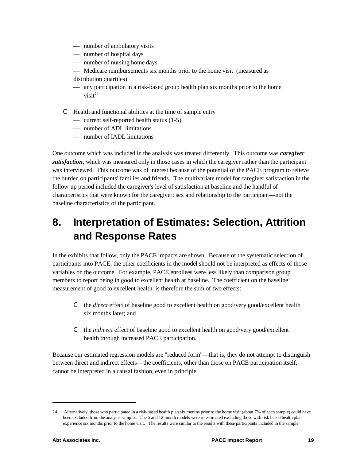- number of ambulatory visits
- number of hospital days
- number of nursing home days
- Medicare reimbursements six months prior to the home visit (measured as distribution quartiles)
- any participation in a risk-based group health plan six months prior to the home visit $^{24}$
- C Health and functional abilities at the time of sample entry
	- current self-reported health status (1-5)
	- number of ADL limitations
	- number of IADL limitations

One outcome which was included in the analysis was treated differently. This outcome was *caregiver satisfaction*, which was measured only in those cases in which the caregiver rather than the participant was interviewed. This outcome was of interest because of the potential of the PACE program to relieve the burden on participants' families and friends. The multivariate model for caregiver satisfaction in the follow-up period included the caregiver's level of satisfaction at baseline and the handful of characteristics that were known for the caregiver: sex and relationship to the participant— not the baseline characteristics of the participant.

# **8. Interpretation of Estimates: Selection, Attrition and Response Rates**

In the exhibits that follow, only the PACE impacts are shown. Because of the systematic selection of participants into PACE, the other coefficients in the model should not be interpreted as effects of those variables on the outcome. For example, PACE enrollees were less likely than comparison group members to report being in good to excellent health at baseline. The coefficient on the baseline measurement of good to excellent health is therefore the sum of two effects:

- C the *direct* effect of baseline good to excellent health on good/very good/excellent health six months later; and
- C the *indirect* effect of baseline good to excellent health on good/very good/excellent health through increased PACE participation.

Because our estimated regression models are "reduced form"— that is, they do not attempt to distinguish between direct and indirect effects— the coefficients, other than those on PACE participation itself, cannot be interpreted in a causal fashion, even in principle.

<sup>24</sup> Alternatively, those who participated in a risk-based health plan six months prior to the home visit (about 7% of each sample) could have been excluded from the analysis samples. The 6 and 12 month models were re-estimated excluding those with risk based health plan experience six months prior to the home visit. The results were similar to the results with these participants included in the sample.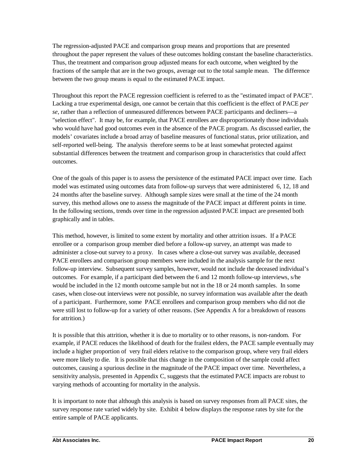The regression-adjusted PACE and comparison group means and proportions that are presented throughout the paper represent the values of these outcomes holding constant the baseline characteristics. Thus, the treatment and comparison group adjusted means for each outcome, when weighted by the fractions of the sample that are in the two groups, average out to the total sample mean. The difference between the two group means is equal to the estimated PACE impact.

Throughout this report the PACE regression coefficient is referred to as the "estimated impact of PACE". Lacking a true experimental design, one cannot be certain that this coefficient is the effect of PACE *per se*, rather than a reflection of unmeasured differences between PACE participants and decliners— a "selection effect". It may be, for example, that PACE enrollees are disproportionately those individuals who would have had good outcomes even in the absence of the PACE program. As discussed earlier, the models' covariates include a broad array of baseline measures of functional status, prior utilization, and self-reported well-being. The analysis therefore seems to be at least somewhat protected against substantial differences between the treatment and comparison group in characteristics that could affect outcomes.

One of the goals of this paper is to assess the persistence of the estimated PACE impact over time. Each model was estimated using outcomes data from follow-up surveys that were administered 6, 12, 18 and 24 months after the baseline survey. Although sample sizes were small at the time of the 24 month survey, this method allows one to assess the magnitude of the PACE impact at different points in time. In the following sections, trends over time in the regression adjusted PACE impact are presented both graphically and in tables.

This method, however, is limited to some extent by mortality and other attrition issues. If a PACE enrollee or a comparison group member died before a follow-up survey, an attempt was made to administer a close-out survey to a proxy. In cases where a close-out survey was available, deceased PACE enrollees and comparison group members were included in the analysis sample for the next follow-up interview. Subsequent survey samples, however, would not include the deceased individual's outcomes. For example, if a participant died between the 6 and 12 month follow-up interviews, s/he would be included in the 12 month outcome sample but not in the 18 or 24 month samples. In some cases, when close-out interviews were not possible, no survey information was available after the death of a participant. Furthermore, some PACE enrollees and comparison group members who did not die were still lost to follow-up for a variety of other reasons. (See Appendix A for a breakdown of reasons for attrition.)

It is possible that this attrition, whether it is due to mortality or to other reasons, is non-random. For example, if PACE reduces the likelihood of death for the frailest elders, the PACE sample eventually may include a higher proportion of very frail elders relative to the comparison group, where very frail elders were more likely to die. It is possible that this change in the composition of the sample could affect outcomes, causing a spurious decline in the magnitude of the PACE impact over time. Nevertheless, a sensitivity analysis, presented in Appendix C, suggests that the estimated PACE impacts are robust to varying methods of accounting for mortality in the analysis.

It is important to note that although this analysis is based on survey responses from all PACE sites, the survey response rate varied widely by site. Exhibit 4 below displays the response rates by site for the entire sample of PACE applicants.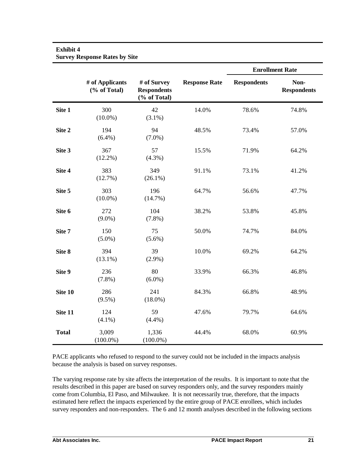### **Exhibit 4**

**Survey Response Rates by Site**

|              |                                 |                                                   |                      |                    | <b>Enrollment Rate</b>     |
|--------------|---------------------------------|---------------------------------------------------|----------------------|--------------------|----------------------------|
|              | # of Applicants<br>(% of Total) | # of Survey<br><b>Respondents</b><br>(% of Total) | <b>Response Rate</b> | <b>Respondents</b> | Non-<br><b>Respondents</b> |
| Site 1       | 300<br>$(10.0\%)$               | 42<br>$(3.1\%)$                                   | 14.0%                | 78.6%              | 74.8%                      |
| Site 2       | 194<br>$(6.4\%)$                | 94<br>$(7.0\%)$                                   | 48.5%                | 73.4%              | 57.0%                      |
| Site 3       | 367<br>$(12.2\%)$               | 57<br>$(4.3\%)$                                   | 15.5%                | 71.9%              | 64.2%                      |
| Site 4       | 383<br>(12.7%)                  | 349<br>$(26.1\%)$                                 | 91.1%                | 73.1%              | 41.2%                      |
| Site 5       | 303<br>$(10.0\%)$               | 196<br>(14.7%)                                    | 64.7%                | 56.6%              | 47.7%                      |
| Site 6       | 272<br>$(9.0\%)$                | 104<br>$(7.8\%)$                                  | 38.2%                | 53.8%              | 45.8%                      |
| Site 7       | 150<br>$(5.0\%)$                | 75<br>$(5.6\%)$                                   | 50.0%                | 74.7%              | 84.0%                      |
| Site 8       | 394<br>$(13.1\%)$               | 39<br>$(2.9\%)$                                   | 10.0%                | 69.2%              | 64.2%                      |
| Site 9       | 236<br>$(7.8\%)$                | 80<br>$(6.0\%)$                                   | 33.9%                | 66.3%              | 46.8%                      |
| Site 10      | 286<br>$(9.5\%)$                | 241<br>$(18.0\%)$                                 | 84.3%                | 66.8%              | 48.9%                      |
| Site 11      | 124<br>$(4.1\%)$                | 59<br>$(4.4\%)$                                   | 47.6%                | 79.7%              | 64.6%                      |
| <b>Total</b> | 3,009<br>$(100.0\%)$            | 1,336<br>$(100.0\%)$                              | 44.4%                | 68.0%              | 60.9%                      |

PACE applicants who refused to respond to the survey could not be included in the impacts analysis because the analysis is based on survey responses.

The varying response rate by site affects the interpretation of the results. It is important to note that the results described in this paper are based on survey responders only, and the survey responders mainly come from Columbia, El Paso, and Milwaukee. It is not necessarily true, therefore, that the impacts estimated here reflect the impacts experienced by the entire group of PACE enrollees, which includes survey responders and non-responders. The 6 and 12 month analyses described in the following sections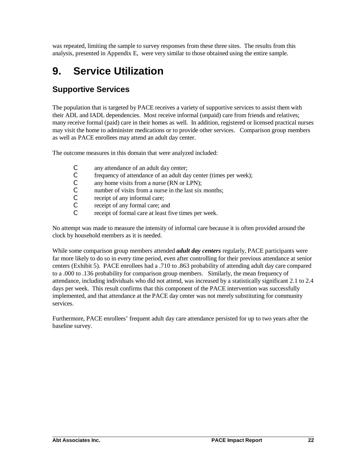was repeated, limiting the sample to survey responses from these three sites. The results from this analysis, presented in Appendix E, were very similar to those obtained using the entire sample.

# **9. Service Utilization**

# **Supportive Services**

The population that is targeted by PACE receives a variety of supportive services to assist them with their ADL and IADL dependencies. Most receive informal (unpaid) care from friends and relatives; many receive formal (paid) care in their homes as well. In addition, registered or licensed practical nurses may visit the home to administer medications or to provide other services. Comparison group members as well as PACE enrollees may attend an adult day center.

The outcome measures in this domain that were analyzed included:

- C any attendance of an adult day center;<br>C frequency of attendance of an adult day
- frequency of attendance of an adult day center (times per week);
- C any home visits from a nurse (RN or LPN);
- C number of visits from a nurse in the last six months;
- C receipt of any informal care;<br>C receipt of any formal care; and
- receipt of any formal care; and
- C receipt of formal care at least five times per week.

No attempt was made to measure the intensity of informal care because it is often provided around the clock by household members as it is needed.

While some comparison group members attended *adult day centers* regularly, PACE participants were far more likely to do so in every time period, even after controlling for their previous attendance at senior centers (Exhibit 5). PACE enrollees had a .710 to .863 probability of attending adult day care compared to a .000 to .136 probability for comparison group members. Similarly, the mean frequency of attendance, including individuals who did not attend, was increased by a statistically significant 2.1 to 2.4 days per week. This result confirms that this component of the PACE intervention was successfully implemented, and that attendance at the PACE day center was not merely substituting for community services.

Furthermore, PACE enrollees' frequent adult day care attendance persisted for up to two years after the baseline survey.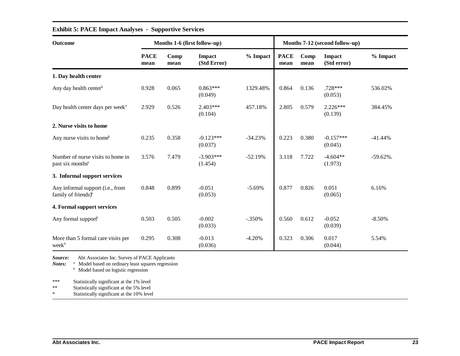| Outcome                                                             | Months 1-6 (first follow-up) |              |                        |           |                     | Months 7-12 (second follow-up) |                        |              |
|---------------------------------------------------------------------|------------------------------|--------------|------------------------|-----------|---------------------|--------------------------------|------------------------|--------------|
|                                                                     | <b>PACE</b><br>mean          | Comp<br>mean | Impact<br>(Std Error)  | % Impact  | <b>PACE</b><br>mean | Comp<br>mean                   | Impact<br>(Std error)  | % Impact     |
| 1. Day health center                                                |                              |              |                        |           |                     |                                |                        |              |
| Any day health center <sup>b</sup>                                  | 0.928                        | 0.065        | $0.863***$<br>(0.049)  | 1329.48%  | 0.864               | 0.136                          | $.728***$<br>(0.053)   | 536.02%      |
| Day health center days per week <sup>a</sup>                        | 2.929                        | 0.526        | $2.403***$<br>(0.104)  | 457.18%   | 2.805               | 0.579                          | $2.226***$<br>(0.139)  | 384.45%      |
| 2. Nurse visits to home                                             |                              |              |                        |           |                     |                                |                        |              |
| Any nurse visits to home <sup>b</sup>                               | 0.235                        | 0.358        | $-0.123***$<br>(0.037) | $-34.23%$ | 0.223               | 0.380                          | $-0.157***$<br>(0.045) | $-41.44%$    |
| Number of nurse visits to home in<br>past six months <sup>a</sup>   | 3.576                        | 7.479        | $-3.903***$<br>(1.454) | $-52.19%$ | 3.118               | 7.722                          | $-4.604**$<br>(1.973)  | $-59.62\%$ . |
| 3. Informal support services                                        |                              |              |                        |           |                     |                                |                        |              |
| Any informal support (i.e., from<br>family of friends) <sup>b</sup> | 0.848                        | 0.899        | $-0.051$<br>(0.053)    | $-5.69%$  | 0.877               | 0.826                          | 0.051<br>(0.065)       | 6.16%        |
| 4. Formal support services                                          |                              |              |                        |           |                     |                                |                        |              |
| Any formal support <sup>b</sup>                                     | 0.503                        | 0.505        | $-0.002$<br>(0.033)    | $-.350%$  | 0.560               | 0.612                          | $-0.052$<br>(0.039)    | $-8.50%$     |
| More than 5 formal care visits per<br>week <sup>b</sup>             | 0.295                        | 0.308        | $-0.013$<br>(0.036)    | $-4.20%$  | 0.323               | 0.306                          | 0.017<br>(0.044)       | 5.54%        |

### **Exhibit 5: PACE Impact Analyses - Supportive Services**

*Source:* Abt Associates Inc. Survey of PACE Applicants

Notes: <sup>a</sup> Model based on ordinary least squares regression

<sup>b</sup> Model based on logistic regression

\*\*\* Statistically significant at the 1% level<br>\*\* Statistically significant at the 5% level

Statistically significant at the 5% level

\* Statistically significant at the 10% level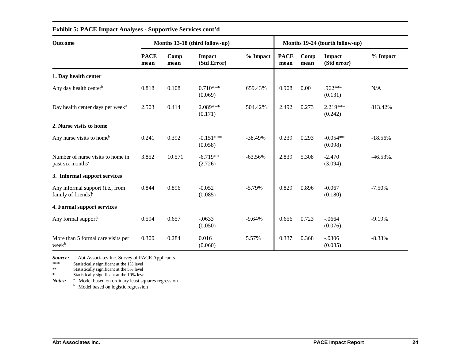| <b>Outcome</b>                                                      | Months 13-18 (third follow-up) |              |                        |           |                     | Months 19-24 (fourth follow-up) |                              |              |  |
|---------------------------------------------------------------------|--------------------------------|--------------|------------------------|-----------|---------------------|---------------------------------|------------------------------|--------------|--|
|                                                                     | <b>PACE</b><br>mean            | Comp<br>mean | Impact<br>(Std Error)  | % Impact  | <b>PACE</b><br>mean | Comp<br>mean                    | <b>Impact</b><br>(Std error) | $%$ Impact   |  |
| 1. Day health center                                                |                                |              |                        |           |                     |                                 |                              |              |  |
| Any day health center <sup>b</sup>                                  | 0.818                          | 0.108        | $0.710***$<br>(0.069)  | 659.43%   | 0.908               | 0.00                            | $.962***$<br>(0.131)         | N/A          |  |
| Day health center days per week <sup>a</sup>                        | 2.503                          | 0.414        | 2.089***<br>(0.171)    | 504.42%   | 2.492               | 0.273                           | 2.219***<br>(0.242)          | 813.42%      |  |
| 2. Nurse visits to home                                             |                                |              |                        |           |                     |                                 |                              |              |  |
| Any nurse visits to home <sup>b</sup>                               | 0.241                          | 0.392        | $-0.151***$<br>(0.058) | $-38.49%$ | 0.239               | 0.293                           | $-0.054**$<br>(0.098)        | $-18.56%$    |  |
| Number of nurse visits to home in<br>past six months <sup>a</sup>   | 3.852                          | 10.571       | $-6.719**$<br>(2.726)  | $-63.56%$ | 2.839               | 5.308                           | $-2.470$<br>(3.094)          | $-46.53\%$ . |  |
| 3. Informal support services                                        |                                |              |                        |           |                     |                                 |                              |              |  |
| Any informal support (i.e., from<br>family of friends) <sup>b</sup> | 0.844                          | 0.896        | $-0.052$<br>(0.085)    | $-5.79\%$ | 0.829               | 0.896                           | $-0.067$<br>(0.180)          | $-7.50\%$    |  |
| 4. Formal support services                                          |                                |              |                        |           |                     |                                 |                              |              |  |
| Any formal support <sup>b</sup>                                     | 0.594                          | 0.657        | $-.0633$<br>(0.050)    | $-9.64%$  | 0.656               | 0.723                           | $-.0664$<br>(0.076)          | $-9.19%$     |  |
| More than 5 formal care visits per<br>week <sup>b</sup>             | 0.300                          | 0.284        | 0.016<br>(0.060)       | 5.57%     | 0.337               | 0.368                           | $-.0306$<br>(0.085)          | $-8.33%$     |  |

### **Exhibit 5: PACE Impact Analyses - Supportive Services cont'd**

*Source:* Abt Associates Inc. Survey of PACE Applicants

\*\*\* Statistically significant at the 1% level

Statistically significant at the 5% level

\* Statistically significant at the 10% level

Notes: <sup>a</sup> Model based on ordinary least squares regression

<sup>b</sup> Model based on logistic regression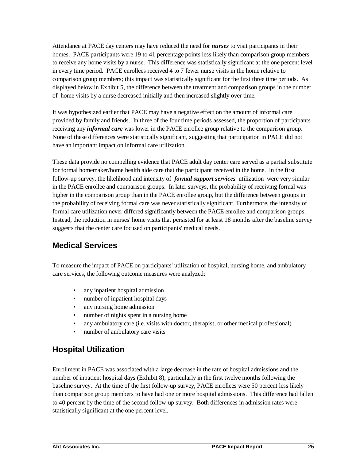Attendance at PACE day centers may have reduced the need for *nurses* to visit participants in their homes. PACE participants were 19 to 41 percentage points less likely than comparison group members to receive any home visits by a nurse. This difference was statistically significant at the one percent level in every time period. PACE enrollees received 4 to 7 fewer nurse visits in the home relative to comparison group members; this impact was statistically significant for the first three time periods. As displayed below in Exhibit 5, the difference between the treatment and comparison groups in the number of home visits by a nurse decreased initially and then increased slightly over time.

It was hypothesized earlier that PACE may have a negative effect on the amount of informal care provided by family and friends. In three of the four time periods assessed, the proportion of participants receiving any *informal care* was lower in the PACE enrollee group relative to the comparison group. None of these differences were statistically significant, suggesting that participation in PACE did not have an important impact on informal care utilization.

These data provide no compelling evidence that PACE adult day center care served as a partial substitute for formal homemaker/home health aide care that the participant received in the home. In the first follow-up survey, the likelihood and intensity of *formal support services* utilization were very similar in the PACE enrollee and comparison groups. In later surveys, the probability of receiving formal was higher in the comparison group than in the PACE enrollee group, but the difference between groups in the probability of receiving formal care was never statistically significant. Furthermore, the intensity of formal care utilization never differed significantly between the PACE enrollee and comparison groups. Instead, the reduction in nurses' home visits that persisted for at least 18 months after the baseline survey suggests that the center care focused on participants' medical needs.

# **Medical Services**

To measure the impact of PACE on participants' utilization of hospital, nursing home, and ambulatory care services, the following outcome measures were analyzed:

- any inpatient hospital admission
- number of inpatient hospital days
- any nursing home admission
- number of nights spent in a nursing home
- any ambulatory care (i.e. visits with doctor, therapist, or other medical professional)
- number of ambulatory care visits

# **Hospital Utilization**

Enrollment in PACE was associated with a large decrease in the rate of hospital admissions and the number of inpatient hospital days (Exhibit 8), particularly in the first twelve months following the baseline survey. At the time of the first follow-up survey, PACE enrollees were 50 percent less likely than comparison group members to have had one or more hospital admissions. This difference had fallen to 40 percent by the time of the second follow-up survey. Both differences in admission rates were statistically significant at the one percent level.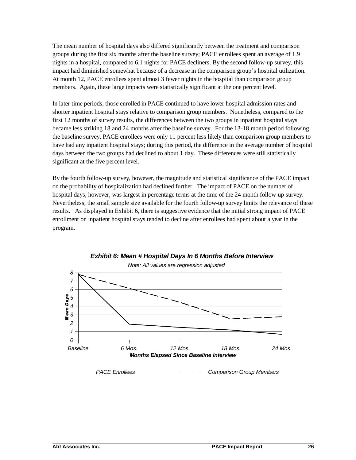The mean number of hospital days also differed significantly between the treatment and comparison groups during the first six months after the baseline survey; PACE enrollees spent an average of 1.9 nights in a hospital, compared to 6.1 nights for PACE decliners. By the second follow-up survey, this impact had diminished somewhat because of a decrease in the comparison group's hospital utilization. At month 12, PACE enrollees spent almost 3 fewer nights in the hospital than comparison group members. Again, these large impacts were statistically significant at the one percent level.

In later time periods, those enrolled in PACE continued to have lower hospital admission rates and shorter inpatient hospital stays relative to comparison group members. Nonetheless, compared to the first 12 months of survey results, the differences between the two groups in inpatient hospital stays became less striking 18 and 24 months after the baseline survey. For the 13-18 month period following the baseline survey, PACE enrollees were only 11 percent less likely than comparison group members to have had any inpatient hospital stays; during this period, the difference in the average number of hospital days between the two groups had declined to about 1 day. These differences were still statistically significant at the five percent level.

By the fourth follow-up survey, however, the magnitude and statistical significance of the PACE impact on the probability of hospitalization had declined further. The impact of PACE on the number of hospital days, however, was largest in percentage terms at the time of the 24 month follow-up survey. Nevertheless, the small sample size available for the fourth follow-up survey limits the relevance of these results. As displayed in Exhibit 6, there is suggestive evidence that the initial strong impact of PACE enrollment on inpatient hospital stays tended to decline after enrollees had spent about a year in the program.



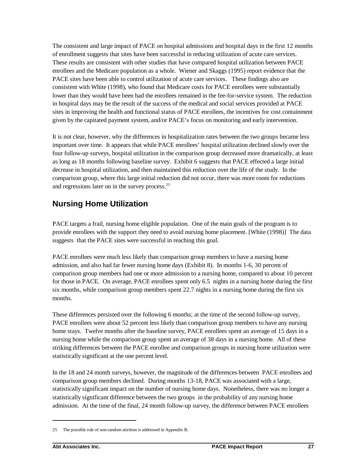The consistent and large impact of PACE on hospital admissions and hospital days in the first 12 months of enrollment suggests that sites have been successful in reducing utilization of acute care services. These results are consistent with other studies that have compared hospital utilization between PACE enrollees and the Medicare population as a whole. Wiener and Skaggs (1995) report evidence that the PACE sites have been able to control utilization of acute care services. These findings also are consistent with White (1998), who found that Medicare costs for PACE enrollees were substantially lower than they would have been had the enrollees remained in the fee-for-service system. The reduction in hospital days may be the result of the success of the medical and social services provided at PACE sites in improving the health and functional status of PACE enrollees, the incentives for cost containment given by the capitated payment system, and/or PACE's focus on monitoring and early intervention.

It is not clear, however, why the differences in hospitalization rates between the two groups became less important over time. It appears that while PACE enrollees' hospital utilization declined slowly over the four follow-up surveys, hospital utilization in the comparison group decreased more dramatically, at least as long as 18 months following baseline survey. Exhibit 6 suggests that PACE effected a large initial decrease in hospital utilization, and then maintained this reduction over the life of the study. In the comparison group, where this large initial reduction did not occur, there was more room for reductions and regressions later on in the survey process.<sup>25</sup>

# **Nursing Home Utilization**

PACE targets a frail, nursing home eligible population. One of the main goals of the program is to provide enrollees with the support they need to avoid nursing home placement. [White (1998)] The data suggests that the PACE sites were successful in reaching this goal.

PACE enrollees were much less likely than comparison group members to have a nursing home admission, and also had far fewer nursing home days (Exhibit 8). In months 1-6, 30 percent of comparison group members had one or more admission to a nursing home, compared to about 10 percent for those in PACE. On average, PACE enrollees spent only 6.5 nights in a nursing home during the first six months, while comparison group members spent 22.7 nights in a nursing home during the first six months.

These differences persisted over the following 6 months; at the time of the second follow-up survey, PACE enrollees were about 52 percent less likely than comparison group members to have any nursing home stays. Twelve months after the baseline survey, PACE enrollees spent an average of 15 days in a nursing home while the comparison group spent an average of 38 days in a nursing home. All of these striking differences between the PACE enrollee and comparison groups in nursing home utilization were statistically significant at the one percent level.

In the 18 and 24 month surveys, however, the magnitude of the differences between PACE enrollees and comparison group members declined. During months 13-18, PACE was associated with a large, statistically significant impact on the number of nursing home days. Nonetheless, there was no longer a statistically significant difference between the two groups in the probability of any nursing home admission. At the time of the final, 24 month follow-up survey, the difference between PACE enrollees

<sup>25</sup> The possible role of non-random attrition is addressed in Appendix B.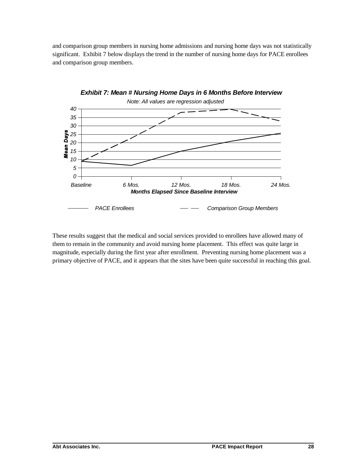and comparison group members in nursing home admissions and nursing home days was not statistically significant. Exhibit 7 below displays the trend in the number of nursing home days for PACE enrollees and comparison group members.



These results suggest that the medical and social services provided to enrollees have allowed many of them to remain in the community and avoid nursing home placement. This effect was quite large in magnitude, especially during the first year after enrollment. Preventing nursing home placement was a primary objective of PACE, and it appears that the sites have been quite successful in reaching this goal.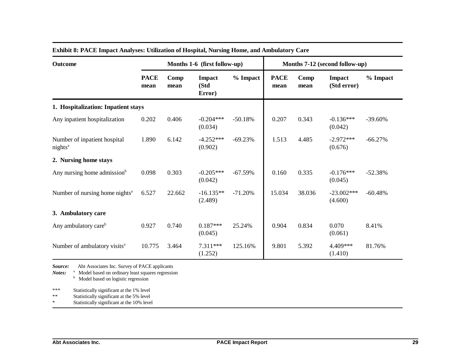| <b>Outcome</b>                                      | Months 1-6 (first follow-up) |              |                          |           |                     | Months 7-12 (second follow-up) |                         |            |  |
|-----------------------------------------------------|------------------------------|--------------|--------------------------|-----------|---------------------|--------------------------------|-------------------------|------------|--|
|                                                     | <b>PACE</b><br>mean          | Comp<br>mean | Impact<br>(Std<br>Error) | % Impact  | <b>PACE</b><br>mean | Comp<br>mean                   | Impact<br>(Std error)   | % Impact   |  |
| 1. Hospitalization: Inpatient stays                 |                              |              |                          |           |                     |                                |                         |            |  |
| Any inpatient hospitalization                       | 0.202                        | 0.406        | $-0.204***$<br>(0.034)   | $-50.18%$ | 0.207               | 0.343                          | $-0.136***$<br>(0.042)  | $-39.60\%$ |  |
| Number of inpatient hospital<br>nights <sup>a</sup> | 1.890                        | 6.142        | $-4.252***$<br>(0.902)   | $-69.23%$ | 1.513               | 4.485                          | $-2.972***$<br>(0.676)  | $-66.27%$  |  |
| 2. Nursing home stays                               |                              |              |                          |           |                     |                                |                         |            |  |
| Any nursing home admission <sup>b</sup>             | 0.098                        | 0.303        | $-0.205***$<br>(0.042)   | $-67.59%$ | 0.160               | 0.335                          | $-0.176***$<br>(0.045)  | $-52.38%$  |  |
| Number of nursing home nights <sup>a</sup>          | 6.527                        | 22.662       | $-16.135**$<br>(2.489)   | $-71.20%$ | 15.034              | 38.036                         | $-23.002***$<br>(4.600) | $-60.48%$  |  |
| 3. Ambulatory care                                  |                              |              |                          |           |                     |                                |                         |            |  |
| Any ambulatory care <sup>b</sup>                    | 0.927                        | 0.740        | $0.187***$<br>(0.045)    | 25.24%    | 0.904               | 0.834                          | 0.070<br>(0.061)        | 8.41%      |  |
| Number of ambulatory visits <sup>a</sup>            | 10.775                       | 3.464        | 7.311***<br>(1.252)      | 125.16%   | 9.801               | 5.392                          | 4.409***<br>(1.410)     | 81.76%     |  |

### **Exhibit 8: PACE Impact Analyses: Utilization of Hospital, Nursing Home, and Ambulatory Care**

*Source:* Abt Associates Inc. Survey of PACE applicants

*Notes:* <sup>a</sup> Model based on ordinary least squares regression

<sup>b</sup> Model based on logistic regression

\*\*\* Statistically significant at the 1% level

Statistically significant at the 5% level

\* Statistically significant at the 10% level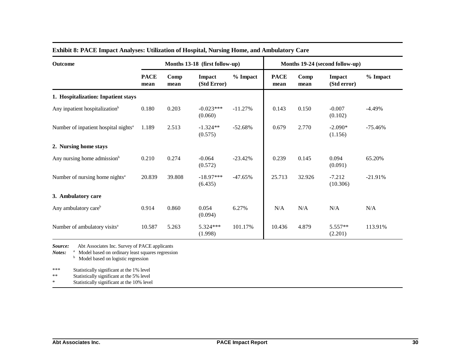| Outcome                                          | Months 13-18 (first follow-up) |              |                        |           | Months 19-24 (second follow-up) |              |                       |           |
|--------------------------------------------------|--------------------------------|--------------|------------------------|-----------|---------------------------------|--------------|-----------------------|-----------|
|                                                  | <b>PACE</b><br>mean            | Comp<br>mean | Impact<br>(Std Error)  | % Impact  | <b>PACE</b><br>mean             | Comp<br>mean | Impact<br>(Std error) | % Impact  |
| 1. Hospitalization: Inpatient stays              |                                |              |                        |           |                                 |              |                       |           |
| Any inpatient hospitalization <sup>b</sup>       | 0.180                          | 0.203        | $-0.023***$<br>(0.060) | $-11.27%$ | 0.143                           | 0.150        | $-0.007$<br>(0.102)   | $-4.49%$  |
| Number of inpatient hospital nights <sup>a</sup> | 1.189                          | 2.513        | $-1.324**$<br>(0.575)  | $-52.68%$ | 0.679                           | 2.770        | $-2.090*$<br>(1.156)  | $-75.46%$ |
| 2. Nursing home stays                            |                                |              |                        |           |                                 |              |                       |           |
| Any nursing home admission <sup>b</sup>          | 0.210                          | 0.274        | $-0.064$<br>(0.572)    | $-23.42%$ | 0.239                           | 0.145        | 0.094<br>(0.091)      | 65.20%    |
| Number of nursing home nights <sup>a</sup>       | 20.839                         | 39.808       | $-18.97***$<br>(6.435) | $-47.65%$ | 25.713                          | 32.926       | $-7.212$<br>(10.306)  | $-21.91%$ |
| 3. Ambulatory care                               |                                |              |                        |           |                                 |              |                       |           |
| Any ambulatory care <sup>b</sup>                 | 0.914                          | 0.860        | 0.054<br>(0.094)       | 6.27%     | N/A                             | N/A          | N/A                   | N/A       |
| Number of ambulatory visits <sup>a</sup>         | 10.587                         | 5.263        | 5.324***<br>(1.998)    | 101.17%   | 10.436                          | 4.879        | $5.557**$<br>(2.201)  | 113.91%   |

### **Exhibit 8: PACE Impact Analyses: Utilization of Hospital, Nursing Home, and Ambulatory Care**

*Source:* Abt Associates Inc. Survey of PACE applicants

*Notes:* <sup>a</sup> Model based on ordinary least squares regression

<sup>b</sup> Model based on logistic regression

\*\*\* Statistically significant at the 1% level

\*\* Statistically significant at the 5% level

\* Statistically significant at the 10% level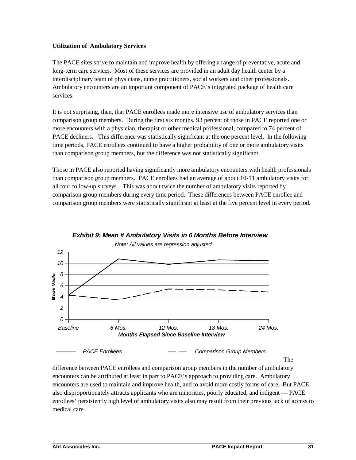#### **Utilization of Ambulatory Services**

The PACE sites strive to maintain and improve health by offering a range of preventative, acute and long-term care services. Most of these services are provided in an adult day health center by a interdisciplinary team of physicians, nurse practitioners, social workers and other professionals. Ambulatory encounters are an important component of PACE's integrated package of health care services.

It is not surprising, then, that PACE enrollees made more intensive use of ambulatory services than comparison group members. During the first six months, 93 percent of those in PACE reported one or more encounters with a physician, therapist or other medical professional, compared to 74 percent of PACE decliners. This difference was statistically significant at the one percent level. In the following time periods, PACE enrollees continued to have a higher probability of one or more ambulatory visits than comparison group members, but the difference was not statistically significant.

Those in PACE also reported having significantly more ambulatory encounters with health professionals than comparison group members. PACE enrollees had an average of about 10-11 ambulatory visits for all four follow-up surveys . This was about twice the number of ambulatory visits reported by comparison group members during every time period. These differences between PACE enrollee and comparison group members were statistically significant at least at the five percent level in every period.



difference between PACE enrollees and comparison group members in the number of ambulatory encounters can be attributed at least in part to PACE's approach to providing care. Ambulatory encounters are used to maintain and improve health, and to avoid more costly forms of care. But PACE also disproportionately attracts applicants who are minorities, poorly educated, and indigent — PACE enrollees' persistently high level of ambulatory visits also may result from their previous lack of access to medical care.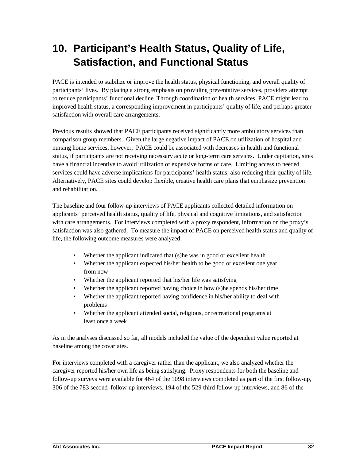# **10. Participant's Health Status, Quality of Life, Satisfaction, and Functional Status**

PACE is intended to stabilize or improve the health status, physical functioning, and overall quality of participants' lives. By placing a strong emphasis on providing preventative services, providers attempt to reduce participants' functional decline. Through coordination of health services, PACE might lead to improved health status, a corresponding improvement in participants' quality of life, and perhaps greater satisfaction with overall care arrangements.

Previous results showed that PACE participants received significantly more ambulatory services than comparison group members. Given the large negative impact of PACE on utilization of hospital and nursing home services, however, PACE could be associated with decreases in health and functional status, if participants are not receiving necessary acute or long-term care services. Under capitation, sites have a financial incentive to avoid utilization of expensive forms of care. Limiting access to needed services could have adverse implications for participants' health status, also reducing their quality of life. Alternatively, PACE sites could develop flexible, creative health care plans that emphasize prevention and rehabilitation.

The baseline and four follow-up interviews of PACE applicants collected detailed information on applicants' perceived health status, quality of life, physical and cognitive limitations, and satisfaction with care arrangements. For interviews completed with a proxy respondent, information on the proxy's satisfaction was also gathered. To measure the impact of PACE on perceived health status and quality of life, the following outcome measures were analyzed:

- Whether the applicant indicated that (s)he was in good or excellent health
- Whether the applicant expected his/her health to be good or excellent one year from now
- Whether the applicant reported that his/her life was satisfying
- Whether the applicant reported having choice in how (s) he spends his/her time
- Whether the applicant reported having confidence in his/her ability to deal with problems
- Whether the applicant attended social, religious, or recreational programs at least once a week

As in the analyses discussed so far, all models included the value of the dependent value reported at baseline among the covariates.

For interviews completed with a caregiver rather than the applicant, we also analyzed whether the caregiver reported his/her own life as being satisfying. Proxy respondents for both the baseline and follow-up surveys were available for 464 of the 1098 interviews completed as part of the first follow-up, 306 of the 783 second follow-up interviews, 194 of the 529 third follow-up interviews, and 86 of the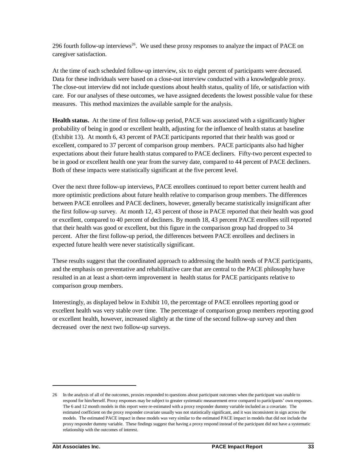296 fourth follow-up interviews<sup>26</sup>. We used these proxy responses to analyze the impact of PACE on caregiver satisfaction.

At the time of each scheduled follow-up interview, six to eight percent of participants were deceased. Data for these individuals were based on a close-out interview conducted with a knowledgeable proxy. The close-out interview did not include questions about health status, quality of life, or satisfaction with care. For our analyses of these outcomes, we have assigned decedents the lowest possible value for these measures.This method maximizes the available sample for the analysis.

**Health status.** At the time of first follow-up period, PACE was associated with a significantly higher probability of being in good or excellent health, adjusting for the influence of health status at baseline (Exhibit 13). At month 6, 43 percent of PACE participants reported that their health was good or excellent, compared to 37 percent of comparison group members. PACE participants also had higher expectations about their future health status compared to PACE decliners. Fifty-two percent expected to be in good or excellent health one year from the survey date, compared to 44 percent of PACE decliners. Both of these impacts were statistically significant at the five percent level.

Over the next three follow-up interviews, PACE enrollees continued to report better current health and more optimistic predictions about future health relative to comparison group members. The differences between PACE enrollees and PACE decliners, however, generally became statistically insignificant after the first follow-up survey. At month 12, 43 percent of those in PACE reported that their health was good or excellent, compared to 40 percent of decliners. By month 18, 43 percent PACE enrollees still reported that their health was good or excellent, but this figure in the comparison group had dropped to 34 percent. After the first follow-up period, the differences between PACE enrollees and decliners in expected future health were never statistically significant.

These results suggest that the coordinated approach to addressing the health needs of PACE participants, and the emphasis on preventative and rehabilitative care that are central to the PACE philosophy have resulted in an at least a short-term improvement in health status for PACE participants relative to comparison group members.

Interestingly, as displayed below in Exhibit 10, the percentage of PACE enrollees reporting good or excellent health was very stable over time. The percentage of comparison group members reporting good or excellent health, however, increased slightly at the time of the second follow-up survey and then decreased over the next two follow-up surveys.

<sup>26</sup> In the analysis of all of the outcomes, proxies responded to questions about participant outcomes when the participant was unable to respond for him/herself. Proxy responses may be subject to greater systematic measurement error compared to participants' own responses. The 6 and 12 month models in this report were re-estimated with a proxy responder dummy variable included as a covariate. The estimated coefficient on the proxy responder covariate usually was not statistically significant, and it was inconsistent in sign across the models. The estimated PACE impact in these models was very similar to the estimated PACE impact in models that did not include the proxy responder dummy variable. These findings suggest that having a proxy respond instead of the participant did not have a systematic relationship with the outcomes of interest.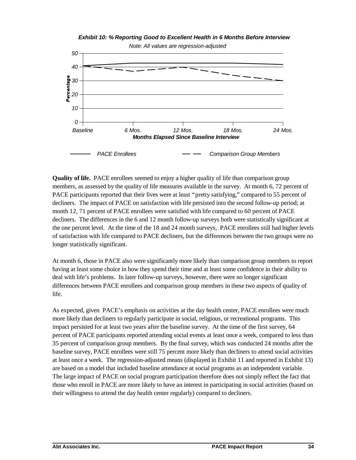#### *Exhibit 10: % Reporting Good to Excellent Health in 6 Months Before Interview*



**Quality of life.** PACE enrollees seemed to enjoy a higher quality of life than comparison group members, as assessed by the quality of life measures available in the survey. At month 6, 72 percent of PACE participants reported that their lives were at least "pretty satisfying," compared to 55 percent of decliners. The impact of PACE on satisfaction with life persisted into the second follow-up period; at month 12, 71 percent of PACE enrollees were satisfied with life compared to 60 percent of PACE decliners. The differences in the 6 and 12 month follow-up surveys both were statistically significant at the one percent level. At the time of the 18 and 24 month surveys, PACE enrollees still had higher levels of satisfaction with life compared to PACE decliners, but the differences between the two groups were no longer statistically significant.

At month 6, those in PACE also were significantly more likely than comparison group members to report having at least some choice in how they spend their time and at least some confidence in their ability to deal with life's problems. In later follow-up surveys, however, there were no longer significant differences between PACE enrollees and comparison group members in these two aspects of quality of life.

As expected, given PACE's emphasis on activities at the day health center, PACE enrollees were much more likely than decliners to regularly participate in social, religious, or recreational programs. This impact persisted for at least two years after the baseline survey. At the time of the first survey, 64 percent of PACE participants reported attending social events at least once a week, compared to less than 35 percent of comparison group members. By the final survey, which was conducted 24 months after the baseline survey, PACE enrollees were still 75 percent more likely than decliners to attend social activities at least once a week. The regression-adjusted means (displayed in Exhibit 11 and reported in Exhibit 13) are based on a model that included baseline attendance at social programs as an independent variable. The large impact of PACE on social program participation therefore does not simply reflect the fact that those who enroll in PACE are more likely to have an interest in participating in social activities (based on their willingness to attend the day health center regularly) compared to decliners.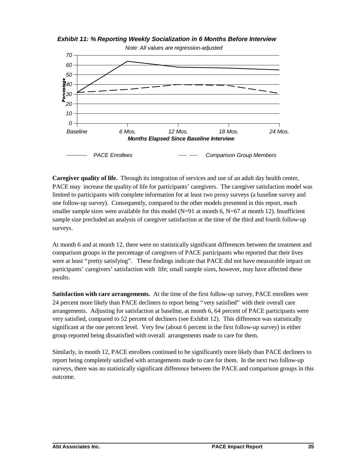*Exhibit 11: % Reporting Weekly Socialization in 6 Months Before Interview*



**Caregiver quality of life.** Through its integration of services and use of an adult day health center, PACE may increase the quality of life for participants' caregivers. The caregiver satisfaction model was limited to participants with complete information for at least two proxy surveys (a baseline survey and one follow-up survey). Consequently, compared to the other models presented in this report, much smaller sample sizes were available for this model  $(N=91$  at month 6,  $N=67$  at month 12). Insufficient sample size precluded an analysis of caregiver satisfaction at the time of the third and fourth follow-up surveys.

At month 6 and at month 12, there were no statistically significant differences between the treatment and comparison groups in the percentage of caregivers of PACE participants who reported that their lives were at least "pretty satisfying". These findings indicate that PACE did not have measurable impact on participants' caregivers' satisfaction with life; small sample sizes, however, may have affected these results.

**Satisfaction with care arrangements.** At the time of the first follow-up survey, PACE enrollees were 24 percent more likely than PACE decliners to report being "very satisfied" with their overall care arrangements. Adjusting for satisfaction at baseline, at month 6, 64 percent of PACE participants were very satisfied, compared to 52 percent of decliners (see Exhibit 12). This difference was statistically significant at the one percent level. Very few (about 6 percent in the first follow-up survey) in either group reported being dissatisfied with overall arrangements made to care for them.

Similarly, in month 12, PACE enrollees continued to be significantly more likely than PACE decliners to report being completely satisfied with arrangements made to care for them. In the next two follow-up surveys, there was no statistically significant difference between the PACE and comparison groups in this outcome.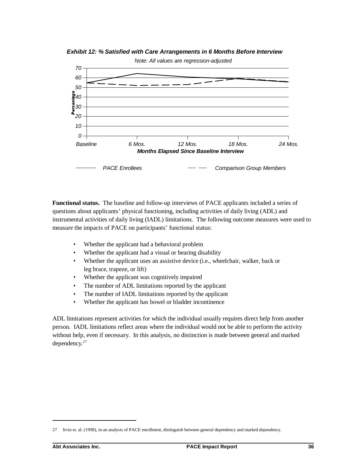*Exhibit 12: % Satisfied with Care Arrangements in 6 Months Before Interview*



**Functional status.** The baseline and follow-up interviews of PACE applicants included a series of questions about applicants' physical functioning, including activities of daily living (ADL) and instrumental activities of daily living (IADL) limitations. The following outcome measures were used to measure the impacts of PACE on participants' functional status:

- Whether the applicant had a behavioral problem
- Whether the applicant had a visual or hearing disability
- Whether the applicant uses an assistive device (i.e., wheelchair, walker, back or leg brace, trapeze, or lift)
- Whether the applicant was cognitively impaired
- The number of ADL limitations reported by the applicant
- The number of IADL limitations reported by the applicant
- Whether the applicant has bowel or bladder incontinence

ADL limitations represent activities for which the individual usually requires direct help from another person. IADL limitations reflect areas where the individual would not be able to perform the activity without help, even if necessary. In this analysis, no distinction is made between general and marked dependency.27

<sup>27</sup> Irvin et. al. (1998), in an analysis of PACE enrollment, distinguish between general dependency and marked dependency.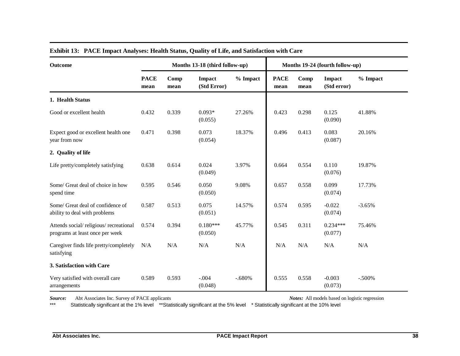| <b>Outcome</b>                                                           | Months 13-18 (third follow-up) |              |                       |          |                     | Months 19-24 (fourth follow-up) |                       |          |  |
|--------------------------------------------------------------------------|--------------------------------|--------------|-----------------------|----------|---------------------|---------------------------------|-----------------------|----------|--|
|                                                                          | <b>PACE</b><br>mean            | Comp<br>mean | Impact<br>(Std Error) | % Impact | <b>PACE</b><br>mean | Comp<br>mean                    | Impact<br>(Std error) | % Impact |  |
| 1. Health Status                                                         |                                |              |                       |          |                     |                                 |                       |          |  |
| Good or excellent health                                                 | 0.432                          | 0.339        | $0.093*$<br>(0.055)   | 27.26%   | 0.423               | 0.298                           | 0.125<br>(0.090)      | 41.88%   |  |
| Expect good or excellent health one<br>year from now                     | 0.471                          | 0.398        | 0.073<br>(0.054)      | 18.37%   | 0.496               | 0.413                           | 0.083<br>(0.087)      | 20.16%   |  |
| 2. Quality of life                                                       |                                |              |                       |          |                     |                                 |                       |          |  |
| Life pretty/completely satisfying                                        | 0.638                          | 0.614        | 0.024<br>(0.049)      | 3.97%    | 0.664               | 0.554                           | 0.110<br>(0.076)      | 19.87%   |  |
| Some/ Great deal of choice in how<br>spend time                          | 0.595                          | 0.546        | 0.050<br>(0.050)      | 9.08%    | 0.657               | 0.558                           | 0.099<br>(0.074)      | 17.73%   |  |
| Some/ Great deal of confidence of<br>ability to deal with problems       | 0.587                          | 0.513        | 0.075<br>(0.051)      | 14.57%   | 0.574               | 0.595                           | $-0.022$<br>(0.074)   | $-3.65%$ |  |
| Attends social/religious/recreational<br>programs at least once per week | 0.574                          | 0.394        | $0.180***$<br>(0.050) | 45.77%   | 0.545               | 0.311                           | $0.234***$<br>(0.077) | 75.46%   |  |
| Caregiver finds life pretty/completely<br>satisfying                     | N/A                            | N/A          | N/A                   | N/A      | N/A                 | N/A                             | N/A                   | N/A      |  |
| 3. Satisfaction with Care                                                |                                |              |                       |          |                     |                                 |                       |          |  |
| Very satisfied with overall care<br>arrangements                         | 0.589                          | 0.593        | $-.004$<br>(0.048)    | $-.680%$ | 0.555               | 0.558                           | $-0.003$<br>(0.073)   | $-.500%$ |  |

### **Exhibit 13: PACE Impact Analyses: Health Status, Quality of Life, and Satisfaction with Care**

*Source:* Abt Associates Inc. Survey of PACE applicants *Source:* All models based on logistic regression **Acces**: All models based on logistic regression **Acces**: All models based on logistic regression **Access Static** Statistically significant at the 1% level \*\*Statistically significant at the 5% level \* Statistically significant at the 10% level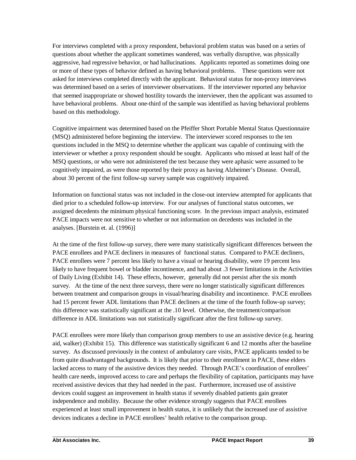For interviews completed with a proxy respondent, behavioral problem status was based on a series of questions about whether the applicant sometimes wandered, was verbally disruptive, was physically aggressive, had regressive behavior, or had hallucinations. Applicants reported as sometimes doing one or more of these types of behavior defined as having behavioral problems. These questions were not asked for interviews completed directly with the applicant. Behavioral status for non-proxy interviews was determined based on a series of interviewer observations. If the interviewer reported any behavior that seemed inappropriate or showed hostility towards the interviewer, then the applicant was assumed to have behavioral problems. About one-third of the sample was identified as having behavioral problems based on this methodology.

Cognitive impairment was determined based on the Pfeiffer Short Portable Mental Status Questionnaire (MSQ) administered before beginning the interview. The interviewer scored responses to the ten questions included in the MSQ to determine whether the applicant was capable of continuing with the interviewer or whether a proxy respondent should be sought. Applicants who missed at least half of the MSQ questions, or who were not administered the test because they were aphasic were assumed to be cognitively impaired, as were those reported by their proxy as having Alzheimer's Disease.Overall, about 30 percent of the first follow-up survey sample was cognitively impaired.

Information on functional status was not included in the close-out interview attempted for applicants that died prior to a scheduled follow-up interview. For our analyses of functional status outcomes, we assigned decedents the minimum physical functioning score. In the previous impact analysis, estimated PACE impacts were not sensitive to whether or not information on decedents was included in the analyses. [Burstein et. al. (1996)]

At the time of the first follow-up survey, there were many statistically significant differences between the PACE enrollees and PACE decliners in measures of functional status. Compared to PACE decliners, PACE enrollees were 7 percent less likely to have a visual or hearing disability, were 19 percent less likely to have frequent bowel or bladder incontinence, and had about .3 fewer limitations in the Activities of Daily Living (Exhibit 14). These effects, however, generally did not persist after the six month survey. At the time of the next three surveys, there were no longer statistically significant differences between treatment and comparison groups in visual/hearing disability and incontinence. PACE enrollees had 15 percent fewer ADL limitations than PACE decliners at the time of the fourth follow-up survey; this difference was statistically significant at the .10 level. Otherwise, the treatment/comparison difference in ADL limitations was not statistically significant after the first follow-up survey.

PACE enrollees were more likely than comparison group members to use an assistive device (e.g. hearing aid, walker) (Exhibit 15). This difference was statistically significant 6 and 12 months after the baseline survey. As discussed previously in the context of ambulatory care visits, PACE applicants tended to be from quite disadvantaged backgrounds. It is likely that prior to their enrollment in PACE, these elders lacked access to many of the assistive devices they needed. Through PACE's coordination of enrollees' health care needs, improved access to care and perhaps the flexibility of capitation, participants may have received assistive devices that they had needed in the past. Furthermore, increased use of assistive devices could suggest an improvement in health status if severely disabled patients gain greater independence and mobility. Because the other evidence strongly suggests that PACE enrollees experienced at least small improvement in health status, it is unlikely that the increased use of assistive devices indicates a decline in PACE enrollees' health relative to the comparison group.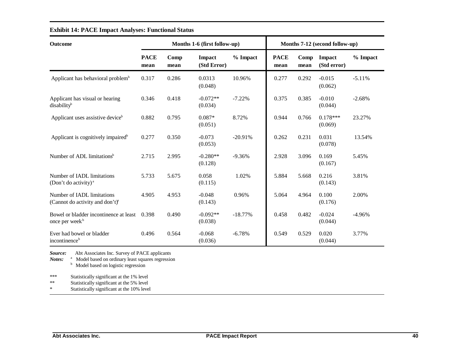| <b>Outcome</b>                                                              | Months 1-6 (first follow-up) |              |                       | Months 7-12 (second follow-up) |                     |              |                       |          |
|-----------------------------------------------------------------------------|------------------------------|--------------|-----------------------|--------------------------------|---------------------|--------------|-----------------------|----------|
|                                                                             | <b>PACE</b><br>mean          | Comp<br>mean | Impact<br>(Std Error) | % Impact                       | <b>PACE</b><br>mean | Comp<br>mean | Impact<br>(Std error) | % Impact |
| Applicant has behavioral problem <sup>b</sup>                               | 0.317                        | 0.286        | 0.0313<br>(0.048)     | 10.96%                         | 0.277               | 0.292        | $-0.015$<br>(0.062)   | $-5.11%$ |
| Applicant has visual or hearing<br>disability <sup>b</sup>                  | 0.346                        | 0.418        | $-0.072**$<br>(0.034) | $-7.22%$                       | 0.375               | 0.385        | $-0.010$<br>(0.044)   | $-2.68%$ |
| Applicant uses assistive device <sup>b</sup>                                | 0.882                        | 0.795        | $0.087*$<br>(0.051)   | 8.72%                          | 0.944               | 0.766        | $0.178***$<br>(0.069) | 23.27%   |
| Applicant is cognitively impaired <sup>b</sup>                              | 0.277                        | 0.350        | $-0.073$<br>(0.053)   | $-20.91%$                      | 0.262               | 0.231        | 0.031<br>(0.078)      | 13.54%   |
| Number of ADL limitations <sup>b</sup>                                      | 2.715                        | 2.995        | $-0.280**$<br>(0.128) | $-9.36%$                       | 2.928               | 3.096        | 0.169<br>(0.167)      | 5.45%    |
| Number of IADL limitations<br>(Don't do activity) <sup><math>a</math></sup> | 5.733                        | 5.675        | 0.058<br>(0.115)      | 1.02%                          | 5.884               | 5.668        | 0.216<br>(0.143)      | 3.81%    |
| Number of IADL limitations<br>(Cannot do activity and don't) <sup>a</sup>   | 4.905                        | 4.953        | $-0.048$<br>(0.143)   | 0.96%                          | 5.064               | 4.964        | 0.100<br>(0.176)      | 2.00%    |
| Bowel or bladder incontinence at least<br>once per week <sup>b</sup>        | 0.398                        | 0.490        | $-0.092**$<br>(0.038) | $-18.77%$                      | 0.458               | 0.482        | $-0.024$<br>(0.044)   | $-4.96%$ |
| Ever had bowel or bladder<br>incontinence <sup>b</sup>                      | 0.496                        | 0.564        | $-0.068$<br>(0.036)   | $-6.78%$                       | 0.549               | 0.529        | 0.020<br>(0.044)      | 3.77%    |

### **Exhibit 14: PACE Impact Analyses: Functional Status**

*Source:* Abt Associates Inc. Survey of PACE applicants

*Notes:* <sup>a</sup> Model based on ordinary least squares regression <sup>b</sup> Model based on logistic regression

\*\*\* Statistically significant at the 1% level<br>\*\* Statistically significant at the 5% level

\*\* Statistically significant at the 5% level<br>\* Statistically significant at the 10% leve

Statistically significant at the 10% level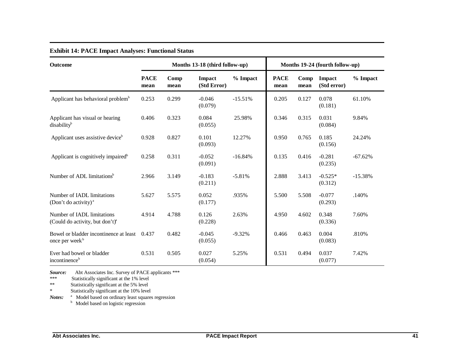| <b>Outcome</b>                                                            |                     | Months 13-18 (third follow-up) |                       | Months 19-24 (fourth follow-up) |                     |              |                       |           |
|---------------------------------------------------------------------------|---------------------|--------------------------------|-----------------------|---------------------------------|---------------------|--------------|-----------------------|-----------|
|                                                                           | <b>PACE</b><br>mean | Comp<br>mean                   | Impact<br>(Std Error) | % Impact                        | <b>PACE</b><br>mean | Comp<br>mean | Impact<br>(Std error) | % Impact  |
| Applicant has behavioral problem <sup>b</sup>                             | 0.253               | 0.299                          | $-0.046$<br>(0.079)   | $-15.51%$                       | 0.205               | 0.127        | 0.078<br>(0.181)      | 61.10%    |
| Applicant has visual or hearing<br>disability <sup>b</sup>                | 0.406               | 0.323                          | 0.084<br>(0.055)      | 25.98%                          | 0.346               | 0.315        | 0.031<br>(0.084)      | 9.84%     |
| Applicant uses assistive device <sup>b</sup>                              | 0.928               | 0.827                          | 0.101<br>(0.093)      | 12.27%                          | 0.950               | 0.765        | 0.185<br>(0.156)      | 24.24%    |
| Applicant is cognitively impaired <sup>b</sup>                            | 0.258               | 0.311                          | $-0.052$<br>(0.091)   | $-16.84%$                       | 0.135               | 0.416        | $-0.281$<br>(0.235)   | $-67.62%$ |
| Number of ADL limitations <sup>b</sup>                                    | 2.966               | 3.149                          | $-0.183$<br>(0.211)   | $-5.81%$                        | 2.888               | 3.413        | $-0.525*$<br>(0.312)  | $-15.38%$ |
| Number of IADL limitations<br>(Don't do activity) <sup>a</sup>            | 5.627               | 5.575                          | 0.052<br>(0.177)      | .935%                           | 5.500               | 5.508        | $-0.077$<br>(0.293)   | .140%     |
| Number of IADL limitations<br>(Could do activity, but don't) <sup>a</sup> | 4.914               | 4.788                          | 0.126<br>(0.228)      | 2.63%                           | 4.950               | 4.602        | 0.348<br>(0.336)      | 7.60%     |
| Bowel or bladder incontinence at least<br>once per week <sup>b</sup>      | 0.437               | 0.482                          | $-0.045$<br>(0.055)   | $-9.32%$                        | 0.466               | 0.463        | 0.004<br>(0.083)      | .810%     |
| Ever had bowel or bladder<br>incontinence <sup>b</sup>                    | 0.531               | 0.505                          | 0.027<br>(0.054)      | 5.25%                           | 0.531               | 0.494        | 0.037<br>(0.077)      | 7.42%     |

#### **Exhibit 14: PACE Impact Analyses: Functional Status**

*Source:* Abt Associates Inc. Survey of PACE applicants \*\*\*<br>\*\*\* Statistically significant at the 1% level

\*\*\* Statistically significant at the 1% level

\*\* Statistically significant at the 5% level

\* Statistically significant at the 10% level

Notes: <sup>a</sup> Model based on ordinary least squares regression <sup>b</sup> Model based on logistic regression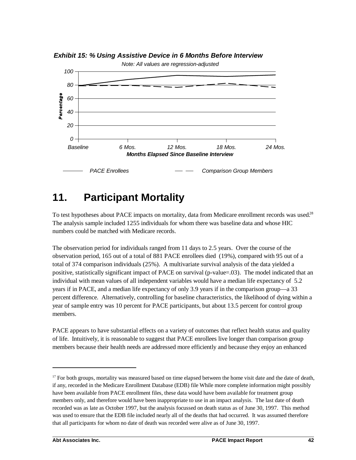

*Exhibit 15: % Using Assistive Device in 6 Months Before Interview*

# **11. Participant Mortality**

To test hypotheses about PACE impacts on mortality, data from Medicare enrollment records was used.<sup>28</sup> The analysis sample included 1255 individuals for whom there was baseline data and whose HIC numbers could be matched with Medicare records.

The observation period for individuals ranged from 11 days to 2.5 years. Over the course of the observation period, 165 out of a total of 881 PACE enrollees died (19%), compared with 95 out of a total of 374 comparison individuals (25%). A multivariate survival analysis of the data yielded a positive, statistically significant impact of PACE on survival (p-value=.03). The model indicated that an individual with mean values of all independent variables would have a median life expectancy of 5.2 years if in PACE, and a median life expectancy of only 3.9 years if in the comparison group— a 33 percent difference. Alternatively, controlling for baseline characteristics, the likelihood of dying within a year of sample entry was 10 percent for PACE participants, but about 13.5 percent for control group members.

PACE appears to have substantial effects on a variety of outcomes that reflect health status and quality of life. Intuitively, it is reasonable to suggest that PACE enrollees live longer than comparison group members because their health needs are addressed more efficiently and because they enjoy an enhanced

 $17$  For both groups, mortality was measured based on time elapsed between the home visit date and the date of death, if any, recorded in the Medicare Enrollment Database (EDB) file While more complete information might possibly have been available from PACE enrollment files, these data would have been available for treatment group members only, and therefore would have been inappropriate to use in an impact analysis. The last date of death recorded was as late as October 1997, but the analysis focussed on death status as of June 30, 1997. This method was used to ensure that the EDB file included nearly all of the deaths that had occurred. It was assumed therefore that all participants for whom no date of death was recorded were alive as of June 30, 1997.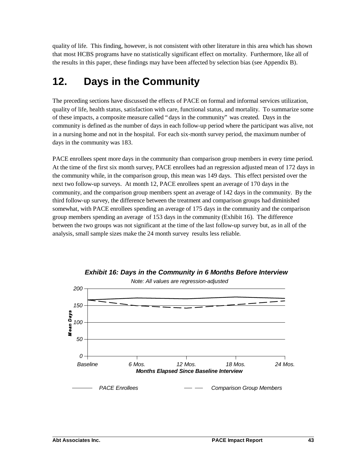quality of life. This finding, however, is not consistent with other literature in this area which has shown that most HCBS programs have no statistically significant effect on mortality. Furthermore, like all of the results in this paper, these findings may have been affected by selection bias (see Appendix B).

# **12. Days in the Community**

The preceding sections have discussed the effects of PACE on formal and informal services utilization, quality of life, health status, satisfaction with care, functional status, and mortality. To summarize some of these impacts, a composite measure called "days in the community" was created. Days in the community is defined as the number of days in each follow-up period where the participant was alive, not in a nursing home and not in the hospital.For each six-month survey period, the maximum number of days in the community was 183.

PACE enrollees spent more days in the community than comparison group members in every time period. At the time of the first six month survey, PACE enrollees had an regression adjusted mean of 172 days in the community while, in the comparison group, this mean was 149 days. This effect persisted over the next two follow-up surveys. At month 12, PACE enrollees spent an average of 170 days in the community, and the comparison group members spent an average of 142 days in the community. By the third follow-up survey, the difference between the treatment and comparison groups had diminished somewhat, with PACE enrollees spending an average of 175 days in the community and the comparison group members spending an average of 153 days in the community (Exhibit 16). The difference between the two groups was not significant at the time of the last follow-up survey but, as in all of the analysis, small sample sizes make the 24 month survey results less reliable.



*Exhibit 16: Days in the Community in 6 Months Before Interview*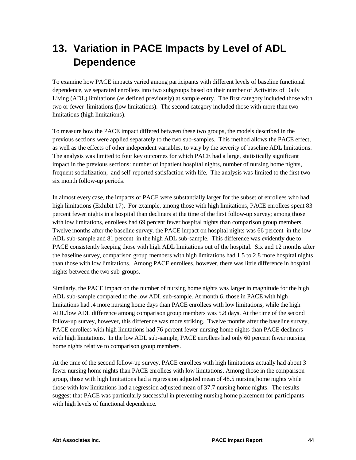# **13. Variation in PACE Impacts by Level of ADL Dependence**

To examine how PACE impacts varied among participants with different levels of baseline functional dependence, we separated enrollees into two subgroups based on their number of Activities of Daily Living (ADL) limitations (as defined previously) at sample entry. The first category included those with two or fewer limitations (low limitations). The second category included those with more than two limitations (high limitations).

To measure how the PACE impact differed between these two groups, the models described in the previous sections were applied separately to the two sub-samples. This method allows the PACE effect, as well as the effects of other independent variables, to vary by the severity of baseline ADL limitations. The analysis was limited to four key outcomes for which PACE had a large, statistically significant impact in the previous sections: number of inpatient hospital nights, number of nursing home nights, frequent socialization, and self-reported satisfaction with life. The analysis was limited to the first two six month follow-up periods.

In almost every case, the impacts of PACE were substantially larger for the subset of enrollees who had high limitations (Exhibit 17). For example, among those with high limitations, PACE enrollees spent 83 percent fewer nights in a hospital than decliners at the time of the first follow-up survey; among those with low limitations, enrollees had 69 percent fewer hospital nights than comparison group members. Twelve months after the baseline survey, the PACE impact on hospital nights was 66 percent in the low ADL sub-sample and 81 percent in the high ADL sub-sample. This difference was evidently due to PACE consistently keeping those with high ADL limitations out of the hospital. Six and 12 months after the baseline survey, comparison group members with high limitations had 1.5 to 2.8 more hospital nights than those with low limitations. Among PACE enrollees, however, there was little difference in hospital nights between the two sub-groups.

Similarly, the PACE impact on the number of nursing home nights was larger in magnitude for the high ADL sub-sample compared to the low ADL sub-sample. At month 6, those in PACE with high limitations had .4 more nursing home days than PACE enrollees with low limitations, while the high ADL/low ADL difference among comparison group members was 5.8 days. At the time of the second follow-up survey, however, this difference was more striking. Twelve months after the baseline survey, PACE enrollees with high limitations had 76 percent fewer nursing home nights than PACE decliners with high limitations. In the low ADL sub-sample, PACE enrollees had only 60 percent fewer nursing home nights relative to comparison group members.

At the time of the second follow-up survey, PACE enrollees with high limitations actually had about 3 fewer nursing home nights than PACE enrollees with low limitations. Among those in the comparison group, those with high limitations had a regression adjusted mean of 48.5 nursing home nights while those with low limitations had a regression adjusted mean of 37.7 nursing home nights. The results suggest that PACE was particularly successful in preventing nursing home placement for participants with high levels of functional dependence.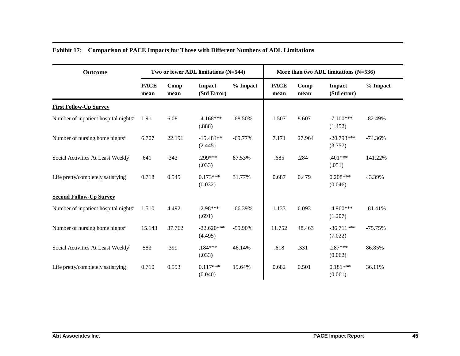| Outcome                                          |                     | Two or fewer ADL limitations (N=544) |                         |            |                     | More than two ADL limitations $(N=536)$ |                         |           |
|--------------------------------------------------|---------------------|--------------------------------------|-------------------------|------------|---------------------|-----------------------------------------|-------------------------|-----------|
|                                                  | <b>PACE</b><br>mean | Comp<br>mean                         | Impact<br>(Std Error)   | $%$ Impact | <b>PACE</b><br>mean | Comp<br>mean                            | Impact<br>(Std error)   | % Impact  |
| <b>First Follow-Up Survey</b>                    |                     |                                      |                         |            |                     |                                         |                         |           |
| Number of inpatient hospital nights <sup>a</sup> | 1.91                | 6.08                                 | $-4.168***$<br>(.888)   | $-68.50%$  | 1.507               | 8.607                                   | $-7.100***$<br>(1.452)  | $-82.49%$ |
| Number of nursing home nights <sup>a</sup>       | 6.707               | 22.191                               | $-15.484**$<br>(2.445)  | $-69.77%$  | 7.171               | 27.964                                  | $-20.793***$<br>(3.757) | $-74.36%$ |
| Social Activities At Least Weeklyb               | .641                | .342                                 | .299***<br>(.033)       | 87.53%     | .685                | .284                                    | .401***<br>(.051)       | 141.22%   |
| Life pretty/completely satisfying                | 0.718               | 0.545                                | $0.173***$<br>(0.032)   | 31.77%     | 0.687               | 0.479                                   | $0.208***$<br>(0.046)   | 43.39%    |
| <b>Second Follow-Up Survey</b>                   |                     |                                      |                         |            |                     |                                         |                         |           |
| Number of inpatient hospital nights <sup>a</sup> | 1.510               | 4.492                                | $-2.98***$<br>(.691)    | $-66.39%$  | 1.133               | 6.093                                   | $-4.960***$<br>(1.207)  | $-81.41%$ |
| Number of nursing home nights <sup>a</sup>       | 15.143              | 37.762                               | $-22.620***$<br>(4.495) | -59.90%    | 11.752              | 48.463                                  | $-36.711***$<br>(7.022) | $-75.75%$ |
| Social Activities At Least Weeklyb               | .583                | .399                                 | $.184***$<br>(.033)     | 46.14%     | .618                | .331                                    | .287***<br>(0.062)      | 86.85%    |
| Life pretty/completely satisfying                | 0.710               | 0.593                                | $0.117***$<br>(0.040)   | 19.64%     | 0.682               | 0.501                                   | $0.181***$<br>(0.061)   | 36.11%    |

## **Exhibit 17: Comparison of PACE Impacts for Those with Different Numbers of ADL Limitations**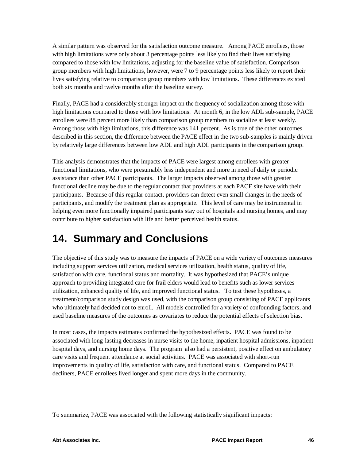A similar pattern was observed for the satisfaction outcome measure. Among PACE enrollees, those with high limitations were only about 3 percentage points less likely to find their lives satisfying compared to those with low limitations, adjusting for the baseline value of satisfaction. Comparison group members with high limitations, however, were 7 to 9 percentage points less likely to report their lives satisfying relative to comparison group members with low limitations. These differences existed both six months and twelve months after the baseline survey.

Finally, PACE had a considerably stronger impact on the frequency of socialization among those with high limitations compared to those with low limitations. At month 6, in the low ADL sub-sample, PACE enrollees were 88 percent more likely than comparison group members to socialize at least weekly. Among those with high limitations, this difference was 141 percent. As is true of the other outcomes described in this section, the difference between the PACE effect in the two sub-samples is mainly driven by relatively large differences between low ADL and high ADL participants in the comparison group.

This analysis demonstrates that the impacts of PACE were largest among enrollees with greater functional limitations, who were presumably less independent and more in need of daily or periodic assistance than other PACE participants. The larger impacts observed among those with greater functional decline may be due to the regular contact that providers at each PACE site have with their participants. Because of this regular contact, providers can detect even small changes in the needs of participants, and modify the treatment plan as appropriate. This level of care may be instrumental in helping even more functionally impaired participants stay out of hospitals and nursing homes, and may contribute to higher satisfaction with life and better perceived health status.

# **14. Summary and Conclusions**

The objective of this study was to measure the impacts of PACE on a wide variety of outcomes measures including support services utilization, medical services utilization, health status, quality of life, satisfaction with care, functional status and mortality. It was hypothesized that PACE's unique approach to providing integrated care for frail elders would lead to benefits such as lower services utilization, enhanced quality of life, and improved functional status. To test these hypotheses, a treatment/comparison study design was used, with the comparison group consisting of PACE applicants who ultimately had decided not to enroll. All models controlled for a variety of confounding factors, and used baseline measures of the outcomes as covariates to reduce the potential effects of selection bias.

In most cases, the impacts estimates confirmed the hypothesized effects. PACE was found to be associated with long-lasting decreases in nurse visits to the home, inpatient hospital admissions, inpatient hospital days, and nursing home days. The program also had a persistent, positive effect on ambulatory care visits and frequent attendance at social activities. PACE was associated with short-run improvements in quality of life, satisfaction with care, and functional status. Compared to PACE decliners, PACE enrollees lived longer and spent more days in the community.

To summarize, PACE was associated with the following statistically significant impacts: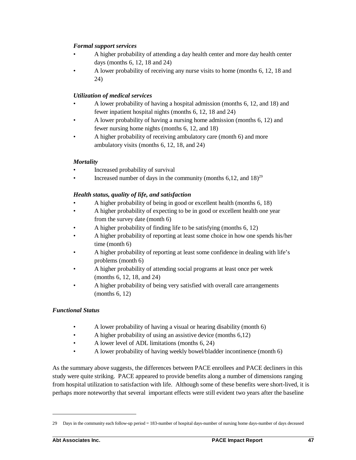## *Formal support services*

- A higher probability of attending a day health center and more day health center days (months 6, 12, 18 and 24)
- A lower probability of receiving any nurse visits to home (months 6, 12, 18 and 24)

## *Utilization of medical services*

- A lower probability of having a hospital admission (months 6, 12, and 18) and fewer inpatient hospital nights (months 6, 12, 18 and 24)
- A lower probability of having a nursing home admission (months 6, 12) and fewer nursing home nights (months 6, 12, and 18)
- A higher probability of receiving ambulatory care (month 6) and more ambulatory visits (months 6, 12, 18, and 24)

### *Mortality*

- Increased probability of survival
- Increased number of days in the community (months  $6.12$ , and  $18)^{29}$

## *Health status, quality of life, and satisfaction*

- A higher probability of being in good or excellent health (months 6, 18)
- A higher probability of expecting to be in good or excellent health one year from the survey date (month 6)
- A higher probability of finding life to be satisfying (months 6, 12)
- A higher probability of reporting at least some choice in how one spends his/her time (month 6)
- A higher probability of reporting at least some confidence in dealing with life's problems (month 6)
- A higher probability of attending social programs at least once per week (months 6, 12, 18, and 24)
- A higher probability of being very satisfied with overall care arrangements (months 6, 12)

### *Functional Status*

- A lower probability of having a visual or hearing disability (month 6)
- A higher probability of using an assistive device (months 6,12)
- A lower level of ADL limitations (months 6, 24)
- A lower probability of having weekly bowel/bladder incontinence (month 6)

As the summary above suggests, the differences between PACE enrollees and PACE decliners in this study were quite striking. PACE appeared to provide benefits along a number of dimensions ranging from hospital utilization to satisfaction with life. Although some of these benefits were short-lived, it is perhaps more noteworthy that several important effects were still evident two years after the baseline

<sup>29</sup> Days in the community each follow-up period = 183-number of hospital days-number of nursing home days-number of days deceased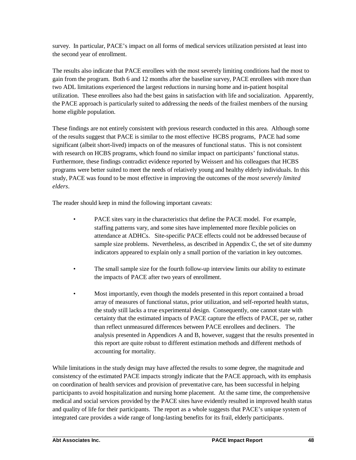survey. In particular, PACE's impact on all forms of medical services utilization persisted at least into the second year of enrollment.

The results also indicate that PACE enrollees with the most severely limiting conditions had the most to gain from the program. Both 6 and 12 months after the baseline survey, PACE enrollees with more than two ADL limitations experienced the largest reductions in nursing home and in-patient hospital utilization. These enrollees also had the best gains in satisfaction with life and socialization. Apparently, the PACE approach is particularly suited to addressing the needs of the frailest members of the nursing home eligible population.

These findings are not entirely consistent with previous research conducted in this area. Although some of the results suggest that PACE is similar to the most effective HCBS programs, PACE had some significant (albeit short-lived) impacts on of the measures of functional status. This is not consistent with research on HCBS programs, which found no similar impact on participants' functional status. Furthermore, these findings contradict evidence reported by Weissert and his colleagues that HCBS programs were better suited to meet the needs of relatively young and healthy elderly individuals. In this study, PACE was found to be most effective in improving the outcomes of the *most severely limited elders*.

The reader should keep in mind the following important caveats:

- PACE sites vary in the characteristics that define the PACE model. For example, staffing patterns vary, and some sites have implemented more flexible policies on attendance at ADHCs. Site-specific PACE effects could not be addressed because of sample size problems. Nevertheless, as described in Appendix C, the set of site dummy indicators appeared to explain only a small portion of the variation in key outcomes.
- The small sample size for the fourth follow-up interview limits our ability to estimate the impacts of PACE after two years of enrollment.
- Most importantly, even though the models presented in this report contained a broad array of measures of functional status, prior utilization, and self-reported health status, the study still lacks a true experimental design. Consequently, one cannot state with certainty that the estimated impacts of PACE capture the effects of PACE, per se, rather than reflect unmeasured differences between PACE enrollees and decliners. The analysis presented in Appendices A and B, however, suggest that the results presented in this report are quite robust to different estimation methods and different methods of accounting for mortality.

While limitations in the study design may have affected the results to some degree, the magnitude and consistency of the estimated PACE impacts strongly indicate that the PACE approach, with its emphasis on coordination of health services and provision of preventative care, has been successful in helping participants to avoid hospitalization and nursing home placement. At the same time, the comprehensive medical and social services provided by the PACE sites have evidently resulted in improved health status and quality of life for their participants. The report as a whole suggests that PACE's unique system of integrated care provides a wide range of long-lasting benefits for its frail, elderly participants.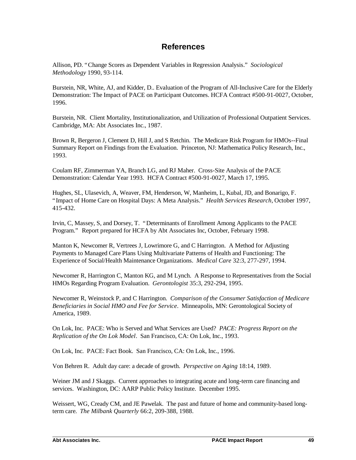## **References**

Allison, PD. "Change Scores as Dependent Variables in Regression Analysis." *Sociological Methodology* 1990, 93-114.

Burstein, NR, White, AJ, and Kidder, D.. Evaluation of the Program of All-Inclusive Care for the Elderly Demonstration: The Impact of PACE on Participant Outcomes. HCFA Contract #500-91-0027, October, 1996.

Burstein, NR. Client Mortality, Institutionalization, and Utilization of Professional Outpatient Services. Cambridge, MA: Abt Associates Inc., 1987.

Brown R, Bergeron J, Clement D, Hill J, and S Retchin. The Medicare Risk Program for HMOs--Final Summary Report on Findings from the Evaluation. Princeton, NJ: Mathematica Policy Research, Inc., 1993.

Coulam RF, Zimmerman YA, Branch LG, and RJ Maher. Cross-Site Analysis of the PACE Demonstration: Calendar Year 1993. HCFA Contract #500-91-0027, March 17, 1995.

Hughes, SL, Ulasevich, A, Weaver, FM, Henderson, W, Manheim, L, Kubal, JD, and Bonarigo, F. "Impact of Home Care on Hospital Days: A Meta Analysis." *Health Services Research,* October 1997, 415-432.

Irvin, C, Massey, S, and Dorsey, T. "Determinants of Enrollment Among Applicants to the PACE Program." Report prepared for HCFA by Abt Associates Inc, October, February 1998.

Manton K, Newcomer R, Vertrees J, Lowrimore G, and C Harrington. A Method for Adjusting Payments to Managed Care Plans Using Multivariate Patterns of Health and Functioning: The Experience of Social/Health Maintenance Organizations. *Medical Care* 32:3, 277-297, 1994.

Newcomer R, Harrington C, Manton KG, and M Lynch. A Response to Representatives from the Social HMOs Regarding Program Evaluation. *Gerontologist* 35:3, 292-294, 1995.

Newcomer R, Weinstock P, and C Harrington. *Comparison of the Consumer Satisfaction of Medicare Beneficiaries in Social HMO and Fee for Service*. Minneapolis, MN: Gerontological Society of America, 1989.

On Lok, Inc. PACE: Who is Served and What Services are Used? *PACE: Progress Report on the Replication of the On Lok Model*. San Francisco, CA: On Lok, Inc., 1993.

On Lok, Inc. PACE: Fact Book. San Francisco, CA: On Lok, Inc., 1996.

Von Behren R. Adult day care: a decade of growth. *Perspective on Aging* 18:14, 1989.

Weiner JM and J Skaggs. Current approaches to integrating acute and long-term care financing and services. Washington, DC: AARP Public Policy Institute. December 1995.

Weissert, WG, Cready CM, and JE Pawelak. The past and future of home and community-based longterm care. *The Milbank Quarterly* 66:2, 209-388, 1988.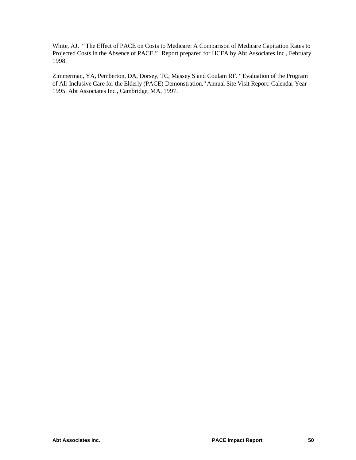White, AJ. "The Effect of PACE on Costs to Medicare: A Comparison of Medicare Capitation Rates to Projected Costs in the Absence of PACE." Report prepared for HCFA by Abt Associates Inc., February 1998.

Zimmerman, YA, Pemberton, DA, Dorsey, TC, Massey S and Coulam RF. "Evaluation of the Program of All-Inclusive Care for the Elderly (PACE) Demonstration."Annual Site Visit Report: Calendar Year 1995. Abt Associates Inc., Cambridge, MA, 1997.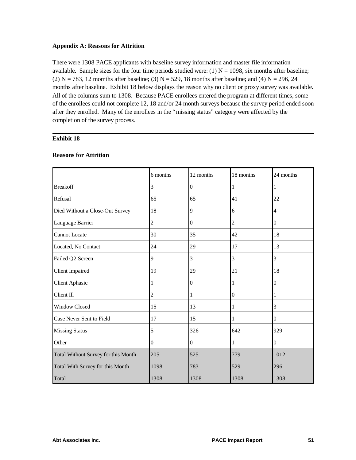#### **Appendix A: Reasons for Attrition**

There were 1308 PACE applicants with baseline survey information and master file information available. Sample sizes for the four time periods studied were: (1)  $N = 1098$ , six months after baseline; (2)  $N = 783$ , 12 momths after baseline; (3)  $N = 529$ , 18 months after baseline; and (4)  $N = 296$ , 24 months after baseline. Exhibit 18 below displays the reason why no client or proxy survey was available. All of the columns sum to 1308. Because PACE enrollees entered the program at different times, some of the enrollees could not complete 12, 18 and/or 24 month surveys because the survey period ended soon after they enrolled. Many of the enrollees in the "missing status" category were affected by the completion of the survey process.

### **Exhibit 18**

|                                     | 6 months       | 12 months        | 18 months      | 24 months        |
|-------------------------------------|----------------|------------------|----------------|------------------|
| <b>Breakoff</b>                     | 3              | $\Omega$         | 1              | 1                |
| Refusal                             | 65             | 65               | 41             | 22               |
| Died Without a Close-Out Survey     | 18             | 9                | 6              | 4                |
| Language Barrier                    | $\overline{c}$ | $\boldsymbol{0}$ | $\overline{2}$ | $\boldsymbol{0}$ |
| <b>Cannot Locate</b>                | 30             | 35               | 42             | 18               |
| Located, No Contact                 | 24             | 29               | 17             | 13               |
| Failed Q2 Screen                    | 9              | 3                | 3              | 3                |
| <b>Client Impaired</b>              | 19             | 29               | 21             | 18               |
| <b>Client Aphasic</b>               | 1              | $\overline{0}$   | 1              | $\boldsymbol{0}$ |
| Client Ill                          | $\overline{c}$ | 1                | $\overline{0}$ | 1                |
| <b>Window Closed</b>                | 15             | 13               | 1              | 3                |
| Case Never Sent to Field            | 17             | 15               | 1              | $\Omega$         |
| <b>Missing Status</b>               | 5              | 326              | 642            | 929              |
| Other                               | $\overline{0}$ | $\boldsymbol{0}$ | 1              | $\boldsymbol{0}$ |
| Total Without Survey for this Month | 205            | 525              | 779            | 1012             |
| Total With Survey for this Month    | 1098           | 783              | 529            | 296              |
| Total                               | 1308           | 1308             | 1308           | 1308             |

#### **Reasons for Attrition**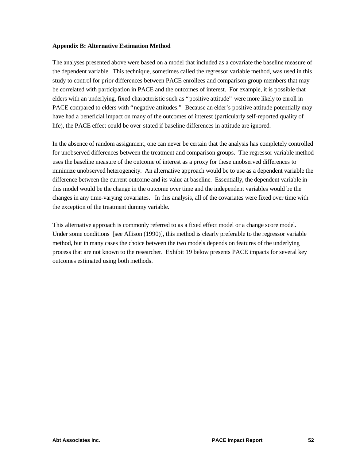#### **Appendix B: Alternative Estimation Method**

The analyses presented above were based on a model that included as a covariate the baseline measure of the dependent variable. This technique, sometimes called the regressor variable method, was used in this study to control for prior differences between PACE enrollees and comparison group members that may be correlated with participation in PACE and the outcomes of interest. For example, it is possible that elders with an underlying, fixed characteristic such as "positive attitude" were more likely to enroll in PACE compared to elders with "negative attitudes." Because an elder's positive attitude potentially may have had a beneficial impact on many of the outcomes of interest (particularly self-reported quality of life), the PACE effect could be over-stated if baseline differences in attitude are ignored.

In the absence of random assignment, one can never be certain that the analysis has completely controlled for unobserved differences between the treatment and comparison groups. The regressor variable method uses the baseline measure of the outcome of interest as a proxy for these unobserved differences to minimize unobserved heterogeneity. An alternative approach would be to use as a dependent variable the difference between the current outcome and its value at baseline. Essentially, the dependent variable in this model would be the change in the outcome over time and the independent variables would be the changes in any time-varying covariates. In this analysis, all of the covariates were fixed over time with the exception of the treatment dummy variable.

This alternative approach is commonly referred to as a fixed effect model or a change score model. Under some conditions [see Allison (1990)], this method is clearly preferable to the regressor variable method, but in many cases the choice between the two models depends on features of the underlying process that are not known to the researcher. Exhibit 19 below presents PACE impacts for several key outcomes estimated using both methods.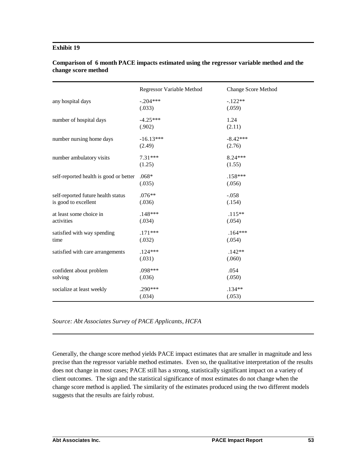#### **Exhibit 19**

|                                                            | <b>Regressor Variable Method</b> | <b>Change Score Method</b> |
|------------------------------------------------------------|----------------------------------|----------------------------|
| any hospital days                                          | $-.204***$<br>(.033)             | $-.122**$<br>(.059)        |
| number of hospital days                                    | $-4.25***$<br>(.902)             | 1.24<br>(2.11)             |
| number nursing home days                                   | $-16.13***$<br>(2.49)            | $-8.42***$<br>(2.76)       |
| number ambulatory visits                                   | $7.31***$<br>(1.25)              | $8.24***$<br>(1.55)        |
| self-reported health is good or better                     | $.068*$<br>(.035)                | $.158***$<br>(.056)        |
| self-reported future health status<br>is good to excellent | $.076**$<br>(.036)               | $-.058$<br>(.154)          |
| at least some choice in<br>activities                      | $.148***$<br>(.034)              | $.115**$<br>(.054)         |
| satisfied with way spending<br>time                        | $.171***$<br>(.032)              | $.164***$<br>(.054)        |
| satisfied with care arrangements                           | $.124***$<br>(.031)              | $.142**$<br>(.060)         |
| confident about problem<br>solving                         | .098***<br>(.036)                | .054<br>(.050)             |
| socialize at least weekly                                  | $.290***$<br>(.034)              | $.134**$<br>(.053)         |

### **Comparison of 6 month PACE impacts estimated using the regressor variable method and the change score method**

*Source: Abt Associates Survey of PACE Applicants, HCFA*

Generally, the change score method yields PACE impact estimates that are smaller in magnitude and less precise than the regressor variable method estimates. Even so, the qualitative interpretation of the results does not change in most cases; PACE still has a strong, statistically significant impact on a variety of client outcomes. The sign and the statistical significance of most estimates do not change when the change score method is applied. The similarity of the estimates produced using the two different models suggests that the results are fairly robust.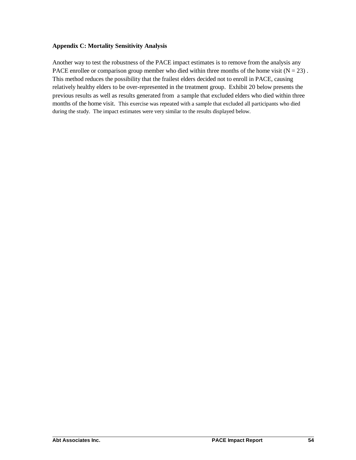#### **Appendix C: Mortality Sensitivity Analysis**

Another way to test the robustness of the PACE impact estimates is to remove from the analysis any PACE enrollee or comparison group member who died within three months of the home visit ( $N = 23$ ). This method reduces the possibility that the frailest elders decided not to enroll in PACE, causing relatively healthy elders to be over-represented in the treatment group. Exhibit 20 below presents the previous results as well as results generated from a sample that excluded elders who died within three months of the home visit. This exercise was repeated with a sample that excluded all participants who died during the study. The impact estimates were very similar to the results displayed below.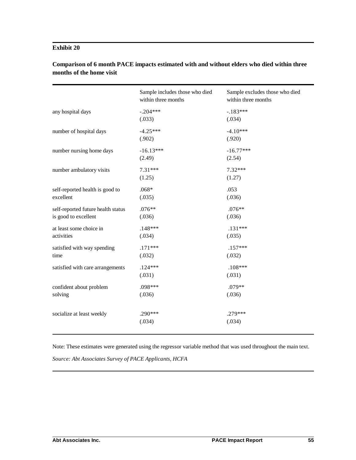### **Exhibit 20**

|                                    | Sample includes those who died<br>within three months | Sample excludes those who died<br>within three months |
|------------------------------------|-------------------------------------------------------|-------------------------------------------------------|
| any hospital days                  | $-.204***$                                            | $-.183***$                                            |
|                                    | (.033)                                                | (.034)                                                |
| number of hospital days            | $-4.25***$                                            | $-4.10***$                                            |
|                                    | (.902)                                                | (.920)                                                |
| number nursing home days           | $-16.13***$                                           | $-16.77***$                                           |
|                                    | (2.49)                                                | (2.54)                                                |
| number ambulatory visits           | $7.31***$                                             | $7.32***$                                             |
|                                    | (1.25)                                                | (1.27)                                                |
| self-reported health is good to    | $.068*$                                               | .053                                                  |
| excellent                          | (.035)                                                | (.036)                                                |
| self-reported future health status | $.076**$                                              | $.076**$                                              |
| is good to excellent               | (.036)                                                | (.036)                                                |
| at least some choice in            | $.148***$                                             | $.131***$                                             |
| activities                         | (.034)                                                | (.035)                                                |
| satisfied with way spending        | $.171***$                                             | $.157***$                                             |
| time                               | (.032)                                                | (.032)                                                |
| satisfied with care arrangements   | $.124***$                                             | $.108***$                                             |
|                                    | (.031)                                                | (.031)                                                |
| confident about problem            | .098***                                               | $.079**$                                              |
| solving                            | (.036)                                                | (.036)                                                |
|                                    |                                                       |                                                       |
| socialize at least weekly          | .290***                                               | $.279***$                                             |
|                                    | (.034)                                                | (.034)                                                |
|                                    |                                                       |                                                       |

## **Comparison of 6 month PACE impacts estimated with and without elders who died within three months of the home visit**

Note: These estimates were generated using the regressor variable method that was used throughout the main text.

*Source: Abt Associates Survey of PACE Applicants, HCFA*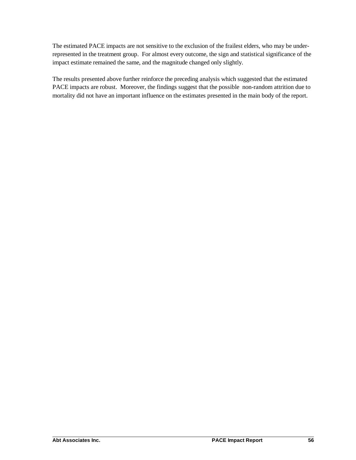The estimated PACE impacts are not sensitive to the exclusion of the frailest elders, who may be underrepresented in the treatment group. For almost every outcome, the sign and statistical significance of the impact estimate remained the same, and the magnitude changed only slightly.

The results presented above further reinforce the preceding analysis which suggested that the estimated PACE impacts are robust. Moreover, the findings suggest that the possible non-random attrition due to mortality did not have an important influence on the estimates presented in the main body of the report.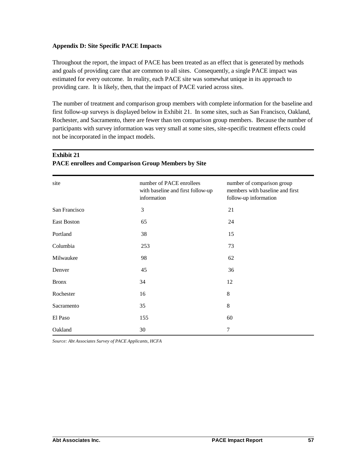#### **Appendix D: Site Specific PACE Impacts**

Throughout the report, the impact of PACE has been treated as an effect that is generated by methods and goals of providing care that are common to all sites. Consequently, a single PACE impact was estimated for every outcome. In reality, each PACE site was somewhat unique in its approach to providing care. It is likely, then, that the impact of PACE varied across sites.

The number of treatment and comparison group members with complete information for the baseline and first follow-up surveys is displayed below in Exhibit 21. In some sites, such as San Francisco, Oakland, Rochester, and Sacramento, there are fewer than ten comparison group members. Because the number of participants with survey information was very small at some sites, site-specific treatment effects could not be incorporated in the impact models.

| site          | number of PACE enrollees<br>with baseline and first follow-up<br>information | number of comparison group<br>members with baseline and first<br>follow-up information |
|---------------|------------------------------------------------------------------------------|----------------------------------------------------------------------------------------|
| San Francisco | 3                                                                            | 21                                                                                     |
| East Boston   | 65                                                                           | 24                                                                                     |
| Portland      | 38                                                                           | 15                                                                                     |
| Columbia      | 253                                                                          | 73                                                                                     |
| Milwaukee     | 98                                                                           | 62                                                                                     |
| Denver        | 45                                                                           | 36                                                                                     |
| <b>Bronx</b>  | 34                                                                           | 12                                                                                     |
| Rochester     | 16                                                                           | 8                                                                                      |
| Sacramento    | 35                                                                           | 8                                                                                      |
| El Paso       | 155                                                                          | 60                                                                                     |
| Oakland       | 30                                                                           | 7                                                                                      |

### **Exhibit 21 PACE enrollees and Comparison Group Members by Site**

*Source: Abt Associates Survey of PACE Applicants, HCFA*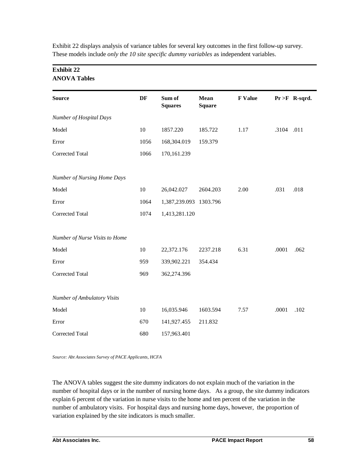| <b>ANOVA Tables</b>            |      |                          |                       |                |            |                  |
|--------------------------------|------|--------------------------|-----------------------|----------------|------------|------------------|
| <b>Source</b>                  | DF   | Sum of<br><b>Squares</b> | Mean<br><b>Square</b> | <b>F</b> Value |            | $Pr > F$ R-sqrd. |
| Number of Hospital Days        |      |                          |                       |                |            |                  |
| Model                          | 10   | 1857.220                 | 185.722               | 1.17           | .3104 .011 |                  |
| Error                          | 1056 | 168,304.019              | 159.379               |                |            |                  |
| <b>Corrected Total</b>         | 1066 | 170,161.239              |                       |                |            |                  |
| Number of Nursing Home Days    |      |                          |                       |                |            |                  |
| Model                          | 10   | 26,042.027               | 2604.203              | 2.00           | .031       | .018             |
| Error                          | 1064 | 1,387,239.093 1303.796   |                       |                |            |                  |
| <b>Corrected Total</b>         | 1074 | 1,413,281.120            |                       |                |            |                  |
| Number of Nurse Visits to Home |      |                          |                       |                |            |                  |
| Model                          | 10   | 22,372.176               | 2237.218              | 6.31           | .0001      | .062             |
| Error                          | 959  | 339,902.221              | 354.434               |                |            |                  |
| <b>Corrected Total</b>         | 969  | 362,274.396              |                       |                |            |                  |
| Number of Ambulatory Visits    |      |                          |                       |                |            |                  |
| Model                          | 10   | 16,035.946               | 1603.594              | 7.57           | .0001      | .102             |
| Error                          | 670  | 141,927.455              | 211.832               |                |            |                  |
| <b>Corrected Total</b>         | 680  | 157,963.401              |                       |                |            |                  |

Exhibit 22 displays analysis of variance tables for several key outcomes in the first follow-up survey. These models include *only the 10 site specific dummy variables* as independent variables.

*Source: Abt Associates Survey of PACE Applicants, HCFA*

The ANOVA tables suggest the site dummy indicators do not explain much of the variation in the number of hospital days or in the number of nursing home days. As a group, the site dummy indicators explain 6 percent of the variation in nurse visits to the home and ten percent of the variation in the number of ambulatory visits. For hospital days and nursing home days, however, the proportion of variation explained by the site indicators is much smaller.

**Exhibit 22**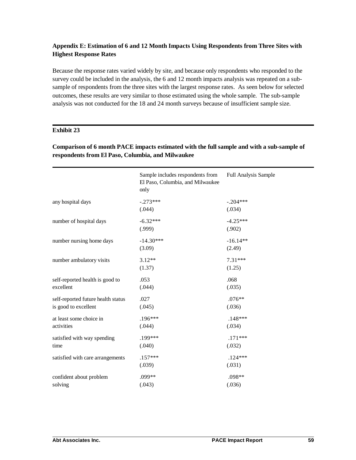## **Appendix E: Estimation of 6 and 12 Month Impacts Using Respondents from Three Sites with Highest Response Rates**

Because the response rates varied widely by site, and because only respondents who responded to the survey could be included in the analysis, the 6 and 12 month impacts analysis was repeated on a subsample of respondents from the three sites with the largest response rates. As seen below for selected outcomes, these results are very similar to those estimated using the whole sample. The sub-sample analysis was not conducted for the 18 and 24 month surveys because of insufficient sample size.

### **Exhibit 23**

## **Comparison of 6 month PACE impacts estimated with the full sample and with a sub-sample of respondents from El Paso, Columbia, and Milwaukee**

|                                                            | Sample includes respondents from<br>El Paso, Columbia, and Milwaukee<br>only | <b>Full Analysis Sample</b> |
|------------------------------------------------------------|------------------------------------------------------------------------------|-----------------------------|
| any hospital days                                          | $-.273***$<br>(.044)                                                         | $-.204***$<br>(.034)        |
| number of hospital days                                    | $-6.32***$<br>(.999)                                                         | $-4.25***$<br>(.902)        |
| number nursing home days                                   | $-14.30***$<br>(3.09)                                                        | $-16.14**$<br>(2.49)        |
| number ambulatory visits                                   | $3.12**$<br>(1.37)                                                           | $7.31***$<br>(1.25)         |
| self-reported health is good to<br>excellent               | .053<br>(.044)                                                               | .068<br>(.035)              |
| self-reported future health status<br>is good to excellent | .027<br>(.045)                                                               | $.076**$<br>(.036)          |
| at least some choice in<br>activities                      | $.196***$<br>(.044)                                                          | $.148***$<br>(.034)         |
| satisfied with way spending<br>time                        | .199***<br>(.040)                                                            | $.171***$<br>(.032)         |
| satisfied with care arrangements                           | $.157***$<br>(.039)                                                          | $.124***$<br>(.031)         |
| confident about problem<br>solving                         | .099**<br>(.043)                                                             | .098**<br>(.036)            |